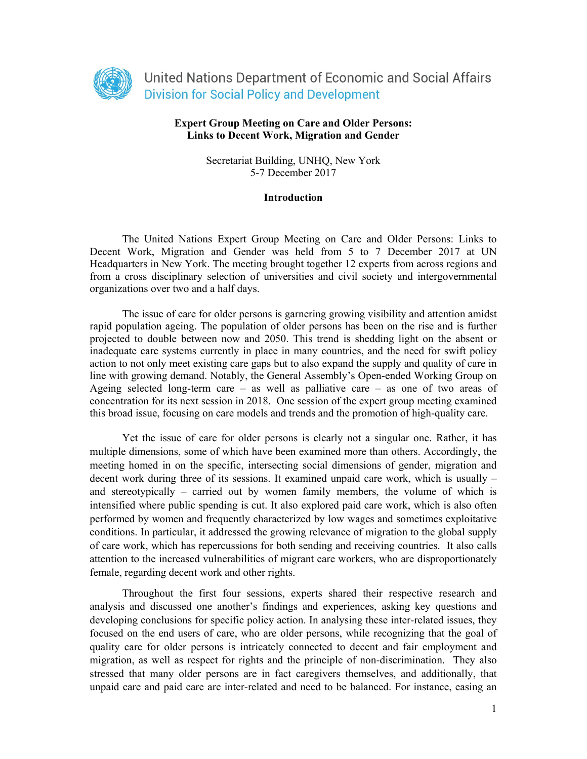

## **Expert Group Meeting on Care and Older Persons: Links to Decent Work, Migration and Gender**

Secretariat Building, UNHQ, New York 5-7 December 2017

#### **Introduction**

The United Nations Expert Group Meeting on Care and Older Persons: Links to Decent Work, Migration and Gender was held from 5 to 7 December 2017 at UN Headquarters in New York. The meeting brought together 12 experts from across regions and from a cross disciplinary selection of universities and civil society and intergovernmental organizations over two and a half days.

The issue of care for older persons is garnering growing visibility and attention amidst rapid population ageing. The population of older persons has been on the rise and is further projected to double between now and 2050. This trend is shedding light on the absent or inadequate care systems currently in place in many countries, and the need for swift policy action to not only meet existing care gaps but to also expand the supply and quality of care in line with growing demand. Notably, the General Assembly's Open-ended Working Group on Ageing selected long-term care – as well as palliative care – as one of two areas of concentration for its next session in 2018. One session of the expert group meeting examined this broad issue, focusing on care models and trends and the promotion of high-quality care.

Yet the issue of care for older persons is clearly not a singular one. Rather, it has multiple dimensions, some of which have been examined more than others. Accordingly, the meeting homed in on the specific, intersecting social dimensions of gender, migration and decent work during three of its sessions. It examined unpaid care work, which is usually – and stereotypically – carried out by women family members, the volume of which is intensified where public spending is cut. It also explored paid care work, which is also often performed by women and frequently characterized by low wages and sometimes exploitative conditions. In particular, it addressed the growing relevance of migration to the global supply of care work, which has repercussions for both sending and receiving countries. It also calls attention to the increased vulnerabilities of migrant care workers, who are disproportionately female, regarding decent work and other rights.

Throughout the first four sessions, experts shared their respective research and analysis and discussed one another's findings and experiences, asking key questions and developing conclusions for specific policy action. In analysing these inter-related issues, they focused on the end users of care, who are older persons, while recognizing that the goal of quality care for older persons is intricately connected to decent and fair employment and migration, as well as respect for rights and the principle of non-discrimination. They also stressed that many older persons are in fact caregivers themselves, and additionally, that unpaid care and paid care are inter-related and need to be balanced. For instance, easing an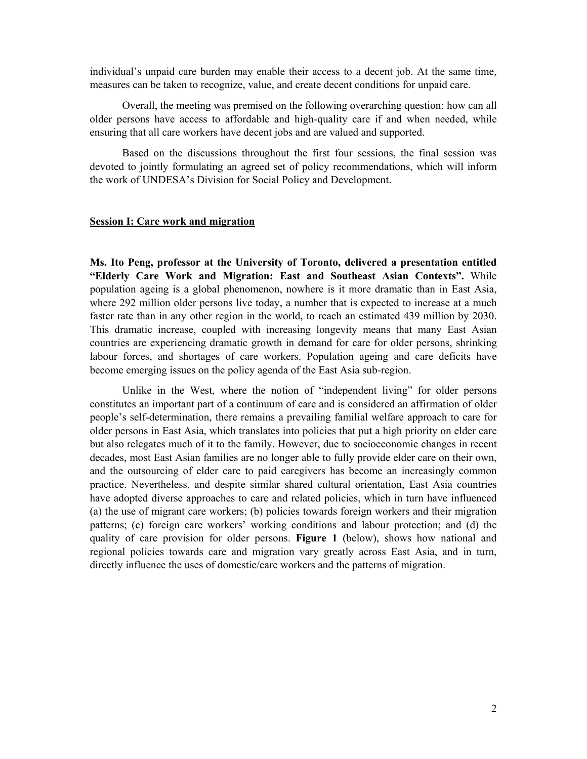individual's unpaid care burden may enable their access to a decent job. At the same time, measures can be taken to recognize, value, and create decent conditions for unpaid care.

Overall, the meeting was premised on the following overarching question: how can all older persons have access to affordable and high-quality care if and when needed, while ensuring that all care workers have decent jobs and are valued and supported.

Based on the discussions throughout the first four sessions, the final session was devoted to jointly formulating an agreed set of policy recommendations, which will inform the work of UNDESA's Division for Social Policy and Development.

#### **Session I: Care work and migration**

**Ms. Ito Peng, professor at the University of Toronto, delivered a presentation entitled "Elderly Care Work and Migration: East and Southeast Asian Contexts".** While population ageing is a global phenomenon, nowhere is it more dramatic than in East Asia, where 292 million older persons live today, a number that is expected to increase at a much faster rate than in any other region in the world, to reach an estimated 439 million by 2030. This dramatic increase, coupled with increasing longevity means that many East Asian countries are experiencing dramatic growth in demand for care for older persons, shrinking labour forces, and shortages of care workers. Population ageing and care deficits have become emerging issues on the policy agenda of the East Asia sub-region.

Unlike in the West, where the notion of "independent living" for older persons constitutes an important part of a continuum of care and is considered an affirmation of older people's self-determination, there remains a prevailing familial welfare approach to care for older persons in East Asia, which translates into policies that put a high priority on elder care but also relegates much of it to the family. However, due to socioeconomic changes in recent decades, most East Asian families are no longer able to fully provide elder care on their own, and the outsourcing of elder care to paid caregivers has become an increasingly common practice. Nevertheless, and despite similar shared cultural orientation, East Asia countries have adopted diverse approaches to care and related policies, which in turn have influenced (a) the use of migrant care workers; (b) policies towards foreign workers and their migration patterns; (c) foreign care workers' working conditions and labour protection; and (d) the quality of care provision for older persons. **Figure 1** (below), shows how national and regional policies towards care and migration vary greatly across East Asia, and in turn, directly influence the uses of domestic/care workers and the patterns of migration.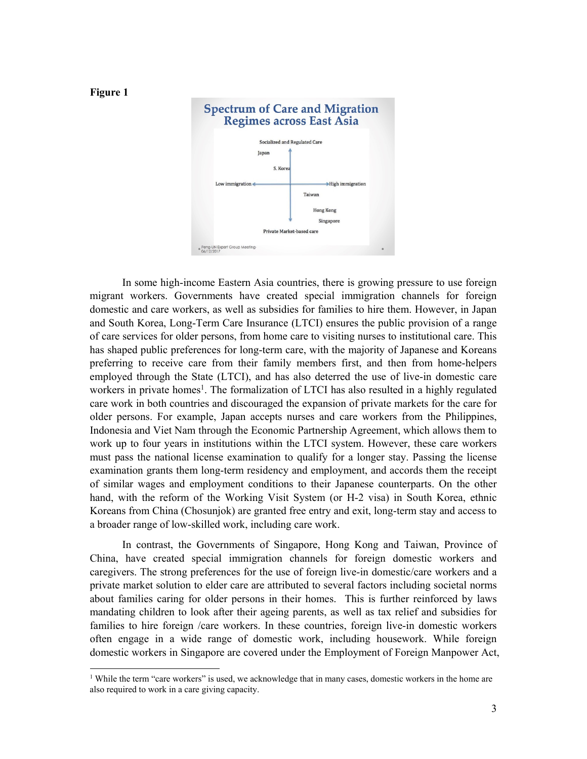

In some high-income Eastern Asia countries, there is growing pressure to use foreign migrant workers. Governments have created special immigration channels for foreign domestic and care workers, as well as subsidies for families to hire them. However, in Japan and South Korea, Long-Term Care Insurance (LTCI) ensures the public provision of a range of care services for older persons, from home care to visiting nurses to institutional care. This has shaped public preferences for long-term care, with the majority of Japanese and Koreans preferring to receive care from their family members first, and then from home-helpers employed through the State (LTCI), and has also deterred the use of live-in domestic care workers in private homes<sup>1</sup>. The formalization of LTCI has also resulted in a highly regulated care work in both countries and discouraged the expansion of private markets for the care for older persons. For example, Japan accepts nurses and care workers from the Philippines, Indonesia and Viet Nam through the Economic Partnership Agreement, which allows them to work up to four years in institutions within the LTCI system. However, these care workers must pass the national license examination to qualify for a longer stay. Passing the license examination grants them long-term residency and employment, and accords them the receipt of similar wages and employment conditions to their Japanese counterparts. On the other hand, with the reform of the Working Visit System (or H-2 visa) in South Korea, ethnic Koreans from China (Chosunjok) are granted free entry and exit, long-term stay and access to a broader range of low-skilled work, including care work.

In contrast, the Governments of Singapore, Hong Kong and Taiwan, Province of China, have created special immigration channels for foreign domestic workers and caregivers. The strong preferences for the use of foreign live-in domestic/care workers and a private market solution to elder care are attributed to several factors including societal norms about families caring for older persons in their homes. This is further reinforced by laws mandating children to look after their ageing parents, as well as tax relief and subsidies for families to hire foreign /care workers. In these countries, foreign live-in domestic workers often engage in a wide range of domestic work, including housework. While foreign domestic workers in Singapore are covered under the Employment of Foreign Manpower Act,

<sup>&</sup>lt;sup>1</sup> While the term "care workers" is used, we acknowledge that in many cases, domestic workers in the home are also required to work in a care giving capacity.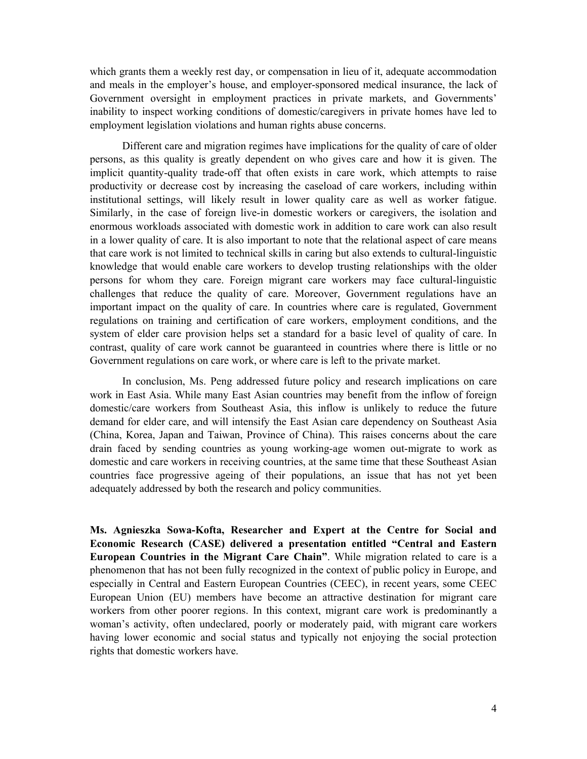which grants them a weekly rest day, or compensation in lieu of it, adequate accommodation and meals in the employer's house, and employer-sponsored medical insurance, the lack of Government oversight in employment practices in private markets, and Governments' inability to inspect working conditions of domestic/caregivers in private homes have led to employment legislation violations and human rights abuse concerns.

Different care and migration regimes have implications for the quality of care of older persons, as this quality is greatly dependent on who gives care and how it is given. The implicit quantity-quality trade-off that often exists in care work, which attempts to raise productivity or decrease cost by increasing the caseload of care workers, including within institutional settings, will likely result in lower quality care as well as worker fatigue. Similarly, in the case of foreign live-in domestic workers or caregivers, the isolation and enormous workloads associated with domestic work in addition to care work can also result in a lower quality of care. It is also important to note that the relational aspect of care means that care work is not limited to technical skills in caring but also extends to cultural-linguistic knowledge that would enable care workers to develop trusting relationships with the older persons for whom they care. Foreign migrant care workers may face cultural-linguistic challenges that reduce the quality of care. Moreover, Government regulations have an important impact on the quality of care. In countries where care is regulated, Government regulations on training and certification of care workers, employment conditions, and the system of elder care provision helps set a standard for a basic level of quality of care. In contrast, quality of care work cannot be guaranteed in countries where there is little or no Government regulations on care work, or where care is left to the private market.

In conclusion, Ms. Peng addressed future policy and research implications on care work in East Asia. While many East Asian countries may benefit from the inflow of foreign domestic/care workers from Southeast Asia, this inflow is unlikely to reduce the future demand for elder care, and will intensify the East Asian care dependency on Southeast Asia (China, Korea, Japan and Taiwan, Province of China). This raises concerns about the care drain faced by sending countries as young working-age women out-migrate to work as domestic and care workers in receiving countries, at the same time that these Southeast Asian countries face progressive ageing of their populations, an issue that has not yet been adequately addressed by both the research and policy communities.

**Ms. Agnieszka Sowa-Kofta, Researcher and Expert at the Centre for Social and Economic Research (CASE) delivered a presentation entitled "Central and Eastern European Countries in the Migrant Care Chain"**. While migration related to care is a phenomenon that has not been fully recognized in the context of public policy in Europe, and especially in Central and Eastern European Countries (CEEC), in recent years, some CEEC European Union (EU) members have become an attractive destination for migrant care workers from other poorer regions. In this context, migrant care work is predominantly a woman's activity, often undeclared, poorly or moderately paid, with migrant care workers having lower economic and social status and typically not enjoying the social protection rights that domestic workers have.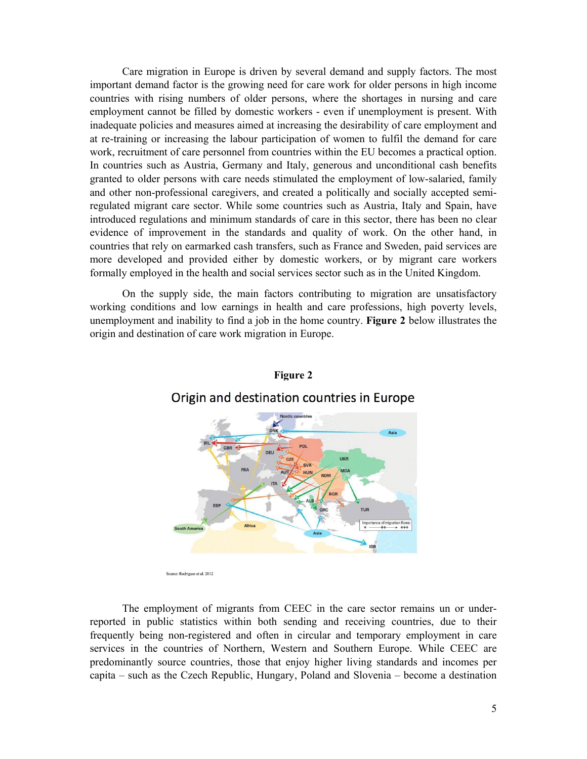Care migration in Europe is driven by several demand and supply factors. The most important demand factor is the growing need for care work for older persons in high income countries with rising numbers of older persons, where the shortages in nursing and care employment cannot be filled by domestic workers - even if unemployment is present. With inadequate policies and measures aimed at increasing the desirability of care employment and at re-training or increasing the labour participation of women to fulfil the demand for care work, recruitment of care personnel from countries within the EU becomes a practical option. In countries such as Austria, Germany and Italy, generous and unconditional cash benefits granted to older persons with care needs stimulated the employment of low-salaried, family and other non-professional caregivers, and created a politically and socially accepted semiregulated migrant care sector. While some countries such as Austria, Italy and Spain, have introduced regulations and minimum standards of care in this sector, there has been no clear evidence of improvement in the standards and quality of work. On the other hand, in countries that rely on earmarked cash transfers, such as France and Sweden, paid services are more developed and provided either by domestic workers, or by migrant care workers formally employed in the health and social services sector such as in the United Kingdom.

On the supply side, the main factors contributing to migration are unsatisfactory working conditions and low earnings in health and care professions, high poverty levels, unemployment and inability to find a job in the home country. **Figure 2** below illustrates the origin and destination of care work migration in Europe.





The employment of migrants from CEEC in the care sector remains un or underreported in public statistics within both sending and receiving countries, due to their frequently being non-registered and often in circular and temporary employment in care services in the countries of Northern, Western and Southern Europe. While CEEC are predominantly source countries, those that enjoy higher living standards and incomes per capita – such as the Czech Republic, Hungary, Poland and Slovenia – become a destination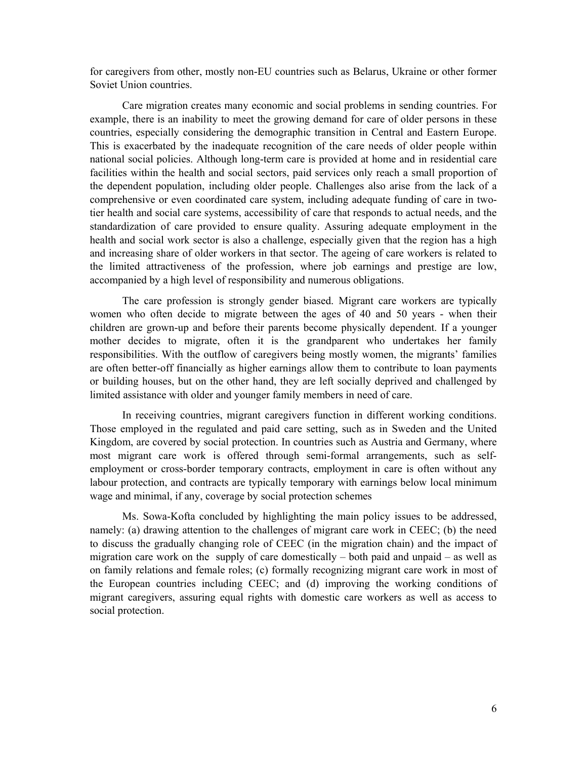for caregivers from other, mostly non-EU countries such as Belarus, Ukraine or other former Soviet Union countries.

 Care migration creates many economic and social problems in sending countries. For example, there is an inability to meet the growing demand for care of older persons in these countries, especially considering the demographic transition in Central and Eastern Europe. This is exacerbated by the inadequate recognition of the care needs of older people within national social policies. Although long-term care is provided at home and in residential care facilities within the health and social sectors, paid services only reach a small proportion of the dependent population, including older people. Challenges also arise from the lack of a comprehensive or even coordinated care system, including adequate funding of care in twotier health and social care systems, accessibility of care that responds to actual needs, and the standardization of care provided to ensure quality. Assuring adequate employment in the health and social work sector is also a challenge, especially given that the region has a high and increasing share of older workers in that sector. The ageing of care workers is related to the limited attractiveness of the profession, where job earnings and prestige are low, accompanied by a high level of responsibility and numerous obligations.

The care profession is strongly gender biased. Migrant care workers are typically women who often decide to migrate between the ages of 40 and 50 years - when their children are grown-up and before their parents become physically dependent. If a younger mother decides to migrate, often it is the grandparent who undertakes her family responsibilities. With the outflow of caregivers being mostly women, the migrants' families are often better-off financially as higher earnings allow them to contribute to loan payments or building houses, but on the other hand, they are left socially deprived and challenged by limited assistance with older and younger family members in need of care.

In receiving countries, migrant caregivers function in different working conditions. Those employed in the regulated and paid care setting, such as in Sweden and the United Kingdom, are covered by social protection. In countries such as Austria and Germany, where most migrant care work is offered through semi-formal arrangements, such as selfemployment or cross-border temporary contracts, employment in care is often without any labour protection, and contracts are typically temporary with earnings below local minimum wage and minimal, if any, coverage by social protection schemes

 Ms. Sowa-Kofta concluded by highlighting the main policy issues to be addressed, namely: (a) drawing attention to the challenges of migrant care work in CEEC; (b) the need to discuss the gradually changing role of CEEC (in the migration chain) and the impact of migration care work on the supply of care domestically – both paid and unpaid – as well as on family relations and female roles; (c) formally recognizing migrant care work in most of the European countries including CEEC; and (d) improving the working conditions of migrant caregivers, assuring equal rights with domestic care workers as well as access to social protection.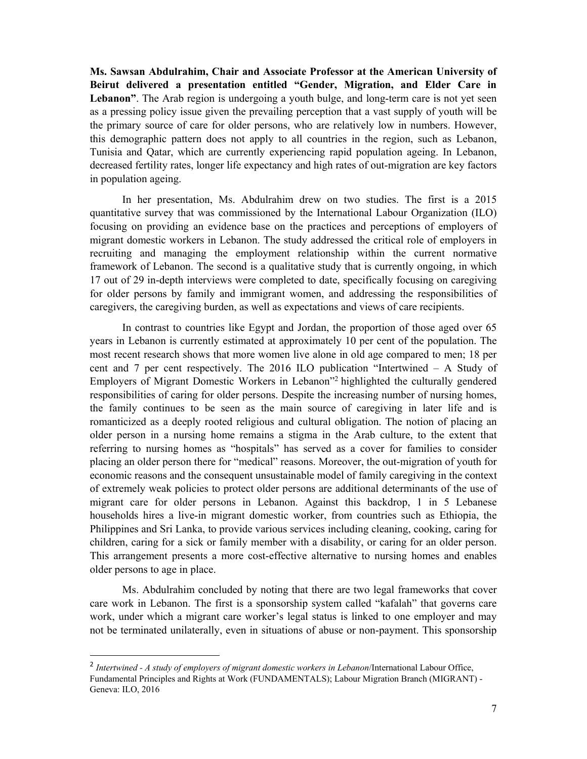**Ms. Sawsan Abdulrahim, Chair and Associate Professor at the American University of Beirut delivered a presentation entitled "Gender, Migration, and Elder Care in**  Lebanon". The Arab region is undergoing a youth bulge, and long-term care is not yet seen as a pressing policy issue given the prevailing perception that a vast supply of youth will be the primary source of care for older persons, who are relatively low in numbers. However, this demographic pattern does not apply to all countries in the region, such as Lebanon, Tunisia and Qatar, which are currently experiencing rapid population ageing. In Lebanon, decreased fertility rates, longer life expectancy and high rates of out-migration are key factors in population ageing.

In her presentation, Ms. Abdulrahim drew on two studies. The first is a 2015 quantitative survey that was commissioned by the International Labour Organization (ILO) focusing on providing an evidence base on the practices and perceptions of employers of migrant domestic workers in Lebanon. The study addressed the critical role of employers in recruiting and managing the employment relationship within the current normative framework of Lebanon. The second is a qualitative study that is currently ongoing, in which 17 out of 29 in-depth interviews were completed to date, specifically focusing on caregiving for older persons by family and immigrant women, and addressing the responsibilities of caregivers, the caregiving burden, as well as expectations and views of care recipients.

In contrast to countries like Egypt and Jordan, the proportion of those aged over 65 years in Lebanon is currently estimated at approximately 10 per cent of the population. The most recent research shows that more women live alone in old age compared to men; 18 per cent and 7 per cent respectively. The 2016 ILO publication "Intertwined – A Study of Employers of Migrant Domestic Workers in Lebanon"2 highlighted the culturally gendered responsibilities of caring for older persons. Despite the increasing number of nursing homes, the family continues to be seen as the main source of caregiving in later life and is romanticized as a deeply rooted religious and cultural obligation. The notion of placing an older person in a nursing home remains a stigma in the Arab culture, to the extent that referring to nursing homes as "hospitals" has served as a cover for families to consider placing an older person there for "medical" reasons. Moreover, the out-migration of youth for economic reasons and the consequent unsustainable model of family caregiving in the context of extremely weak policies to protect older persons are additional determinants of the use of migrant care for older persons in Lebanon. Against this backdrop, 1 in 5 Lebanese households hires a live-in migrant domestic worker, from countries such as Ethiopia, the Philippines and Sri Lanka, to provide various services including cleaning, cooking, caring for children, caring for a sick or family member with a disability, or caring for an older person. This arrangement presents a more cost-effective alternative to nursing homes and enables older persons to age in place.

Ms. Abdulrahim concluded by noting that there are two legal frameworks that cover care work in Lebanon. The first is a sponsorship system called "kafalah" that governs care work, under which a migrant care worker's legal status is linked to one employer and may not be terminated unilaterally, even in situations of abuse or non-payment. This sponsorship

<sup>2</sup> *Intertwined - A study of employers of migrant domestic workers in Lebanon*/International Labour Office, Fundamental Principles and Rights at Work (FUNDAMENTALS); Labour Migration Branch (MIGRANT) - Geneva: ILO, 2016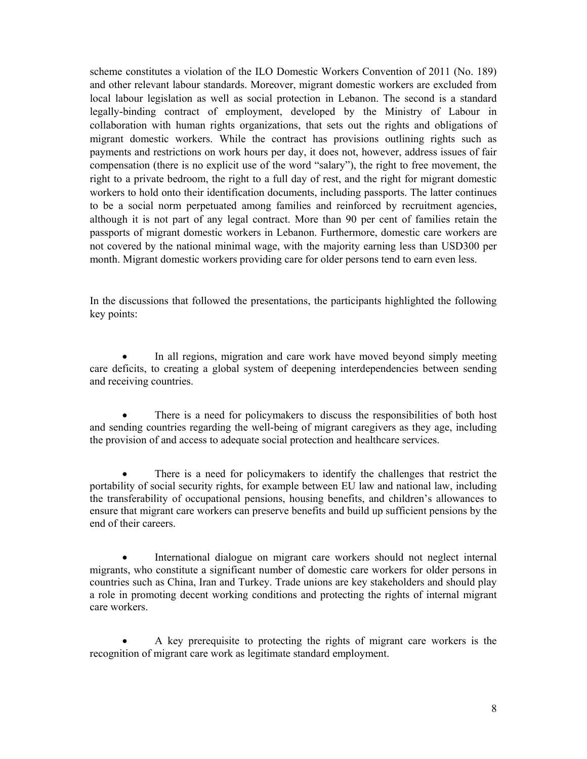scheme constitutes a violation of the ILO Domestic Workers Convention of 2011 (No. 189) and other relevant labour standards. Moreover, migrant domestic workers are excluded from local labour legislation as well as social protection in Lebanon. The second is a standard legally-binding contract of employment, developed by the Ministry of Labour in collaboration with human rights organizations, that sets out the rights and obligations of migrant domestic workers. While the contract has provisions outlining rights such as payments and restrictions on work hours per day, it does not, however, address issues of fair compensation (there is no explicit use of the word "salary"), the right to free movement, the right to a private bedroom, the right to a full day of rest, and the right for migrant domestic workers to hold onto their identification documents, including passports. The latter continues to be a social norm perpetuated among families and reinforced by recruitment agencies, although it is not part of any legal contract. More than 90 per cent of families retain the passports of migrant domestic workers in Lebanon. Furthermore, domestic care workers are not covered by the national minimal wage, with the majority earning less than USD300 per month. Migrant domestic workers providing care for older persons tend to earn even less.

In the discussions that followed the presentations, the participants highlighted the following key points:

 In all regions, migration and care work have moved beyond simply meeting care deficits, to creating a global system of deepening interdependencies between sending and receiving countries.

 There is a need for policymakers to discuss the responsibilities of both host and sending countries regarding the well-being of migrant caregivers as they age, including the provision of and access to adequate social protection and healthcare services.

 There is a need for policymakers to identify the challenges that restrict the portability of social security rights, for example between EU law and national law, including the transferability of occupational pensions, housing benefits, and children's allowances to ensure that migrant care workers can preserve benefits and build up sufficient pensions by the end of their careers.

 International dialogue on migrant care workers should not neglect internal migrants, who constitute a significant number of domestic care workers for older persons in countries such as China, Iran and Turkey. Trade unions are key stakeholders and should play a role in promoting decent working conditions and protecting the rights of internal migrant care workers.

 A key prerequisite to protecting the rights of migrant care workers is the recognition of migrant care work as legitimate standard employment.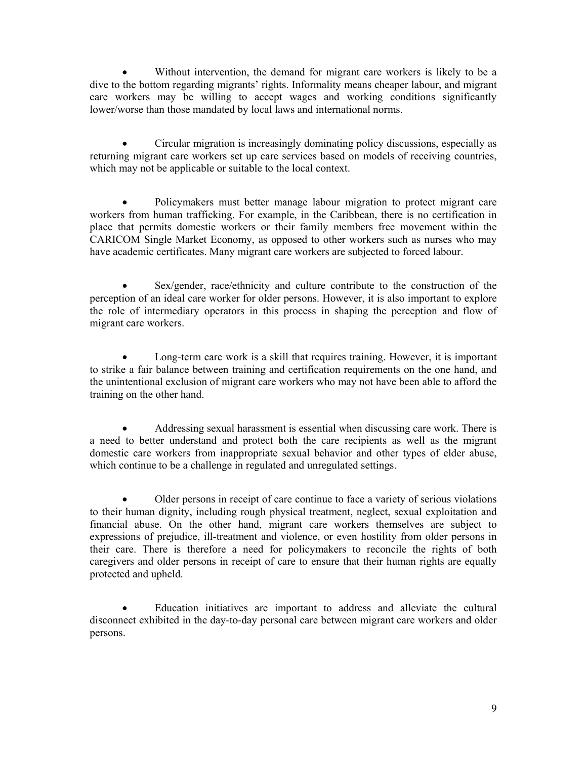Without intervention, the demand for migrant care workers is likely to be a dive to the bottom regarding migrants' rights. Informality means cheaper labour, and migrant care workers may be willing to accept wages and working conditions significantly lower/worse than those mandated by local laws and international norms.

 Circular migration is increasingly dominating policy discussions, especially as returning migrant care workers set up care services based on models of receiving countries, which may not be applicable or suitable to the local context.

 Policymakers must better manage labour migration to protect migrant care workers from human trafficking. For example, in the Caribbean, there is no certification in place that permits domestic workers or their family members free movement within the CARICOM Single Market Economy, as opposed to other workers such as nurses who may have academic certificates. Many migrant care workers are subjected to forced labour.

 Sex/gender, race/ethnicity and culture contribute to the construction of the perception of an ideal care worker for older persons. However, it is also important to explore the role of intermediary operators in this process in shaping the perception and flow of migrant care workers.

 Long-term care work is a skill that requires training. However, it is important to strike a fair balance between training and certification requirements on the one hand, and the unintentional exclusion of migrant care workers who may not have been able to afford the training on the other hand.

 Addressing sexual harassment is essential when discussing care work. There is a need to better understand and protect both the care recipients as well as the migrant domestic care workers from inappropriate sexual behavior and other types of elder abuse, which continue to be a challenge in regulated and unregulated settings.

 Older persons in receipt of care continue to face a variety of serious violations to their human dignity, including rough physical treatment, neglect, sexual exploitation and financial abuse. On the other hand, migrant care workers themselves are subject to expressions of prejudice, ill-treatment and violence, or even hostility from older persons in their care. There is therefore a need for policymakers to reconcile the rights of both caregivers and older persons in receipt of care to ensure that their human rights are equally protected and upheld.

 Education initiatives are important to address and alleviate the cultural disconnect exhibited in the day-to-day personal care between migrant care workers and older persons.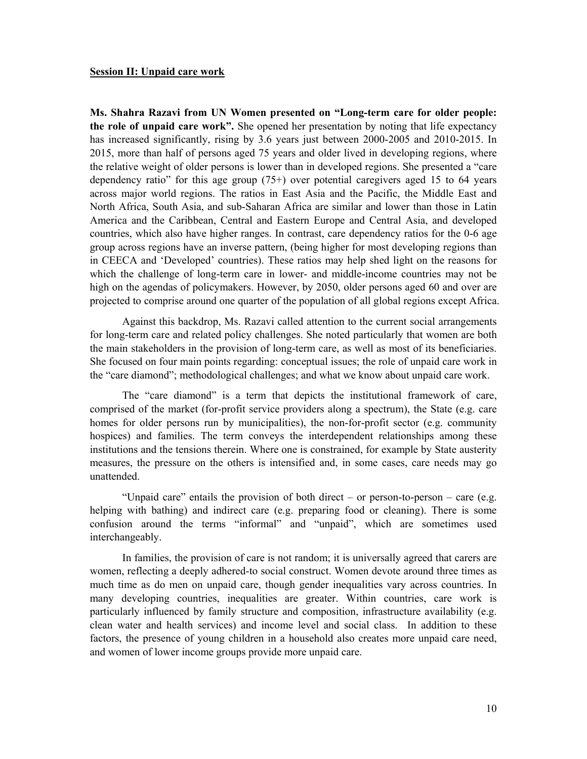#### **Session II: Unpaid care work**

**Ms. Shahra Razavi from UN Women presented on "Long-term care for older people: the role of unpaid care work".** She opened her presentation by noting that life expectancy has increased significantly, rising by 3.6 years just between 2000-2005 and 2010-2015. In 2015, more than half of persons aged 75 years and older lived in developing regions, where the relative weight of older persons is lower than in developed regions. She presented a "care dependency ratio" for this age group (75+) over potential caregivers aged 15 to 64 years across major world regions. The ratios in East Asia and the Pacific, the Middle East and North Africa, South Asia, and sub-Saharan Africa are similar and lower than those in Latin America and the Caribbean, Central and Eastern Europe and Central Asia, and developed countries, which also have higher ranges. In contrast, care dependency ratios for the 0-6 age group across regions have an inverse pattern, (being higher for most developing regions than in CEECA and 'Developed' countries). These ratios may help shed light on the reasons for which the challenge of long-term care in lower- and middle-income countries may not be high on the agendas of policymakers. However, by 2050, older persons aged 60 and over are projected to comprise around one quarter of the population of all global regions except Africa.

Against this backdrop, Ms. Razavi called attention to the current social arrangements for long-term care and related policy challenges. She noted particularly that women are both the main stakeholders in the provision of long-term care, as well as most of its beneficiaries. She focused on four main points regarding: conceptual issues; the role of unpaid care work in the "care diamond"; methodological challenges; and what we know about unpaid care work.

The "care diamond" is a term that depicts the institutional framework of care, comprised of the market (for-profit service providers along a spectrum), the State (e.g. care homes for older persons run by municipalities), the non-for-profit sector (e.g. community hospices) and families. The term conveys the interdependent relationships among these institutions and the tensions therein. Where one is constrained, for example by State austerity measures, the pressure on the others is intensified and, in some cases, care needs may go unattended.

"Unpaid care" entails the provision of both direct – or person-to-person – care (e.g. helping with bathing) and indirect care (e.g. preparing food or cleaning). There is some confusion around the terms "informal" and "unpaid", which are sometimes used interchangeably.

In families, the provision of care is not random; it is universally agreed that carers are women, reflecting a deeply adhered-to social construct. Women devote around three times as much time as do men on unpaid care, though gender inequalities vary across countries. In many developing countries, inequalities are greater. Within countries, care work is particularly influenced by family structure and composition, infrastructure availability (e.g. clean water and health services) and income level and social class. In addition to these factors, the presence of young children in a household also creates more unpaid care need, and women of lower income groups provide more unpaid care.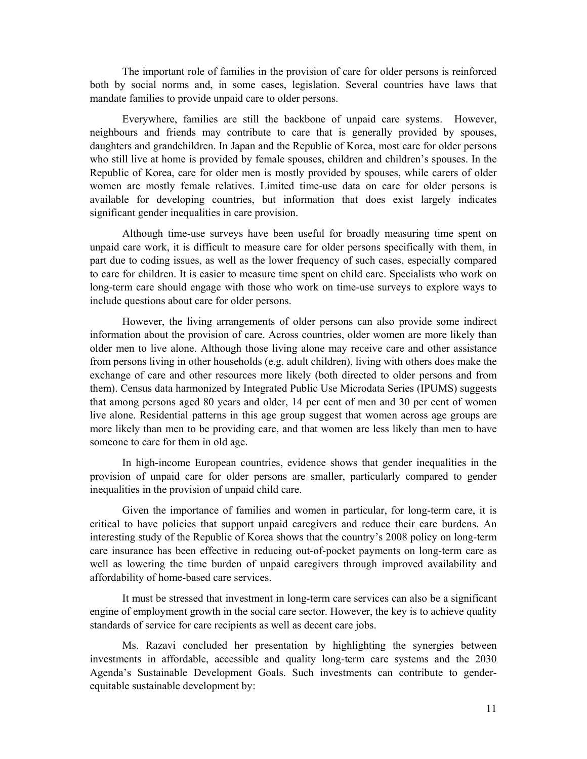The important role of families in the provision of care for older persons is reinforced both by social norms and, in some cases, legislation. Several countries have laws that mandate families to provide unpaid care to older persons.

Everywhere, families are still the backbone of unpaid care systems. However, neighbours and friends may contribute to care that is generally provided by spouses, daughters and grandchildren. In Japan and the Republic of Korea, most care for older persons who still live at home is provided by female spouses, children and children's spouses. In the Republic of Korea, care for older men is mostly provided by spouses, while carers of older women are mostly female relatives. Limited time-use data on care for older persons is available for developing countries, but information that does exist largely indicates significant gender inequalities in care provision.

Although time-use surveys have been useful for broadly measuring time spent on unpaid care work, it is difficult to measure care for older persons specifically with them, in part due to coding issues, as well as the lower frequency of such cases, especially compared to care for children. It is easier to measure time spent on child care. Specialists who work on long-term care should engage with those who work on time-use surveys to explore ways to include questions about care for older persons.

However, the living arrangements of older persons can also provide some indirect information about the provision of care. Across countries, older women are more likely than older men to live alone. Although those living alone may receive care and other assistance from persons living in other households (e.g. adult children), living with others does make the exchange of care and other resources more likely (both directed to older persons and from them). Census data harmonized by Integrated Public Use Microdata Series (IPUMS) suggests that among persons aged 80 years and older, 14 per cent of men and 30 per cent of women live alone. Residential patterns in this age group suggest that women across age groups are more likely than men to be providing care, and that women are less likely than men to have someone to care for them in old age.

In high-income European countries, evidence shows that gender inequalities in the provision of unpaid care for older persons are smaller, particularly compared to gender inequalities in the provision of unpaid child care.

Given the importance of families and women in particular, for long-term care, it is critical to have policies that support unpaid caregivers and reduce their care burdens. An interesting study of the Republic of Korea shows that the country's 2008 policy on long-term care insurance has been effective in reducing out-of-pocket payments on long-term care as well as lowering the time burden of unpaid caregivers through improved availability and affordability of home-based care services.

It must be stressed that investment in long-term care services can also be a significant engine of employment growth in the social care sector. However, the key is to achieve quality standards of service for care recipients as well as decent care jobs.

Ms. Razavi concluded her presentation by highlighting the synergies between investments in affordable, accessible and quality long-term care systems and the 2030 Agenda's Sustainable Development Goals. Such investments can contribute to genderequitable sustainable development by: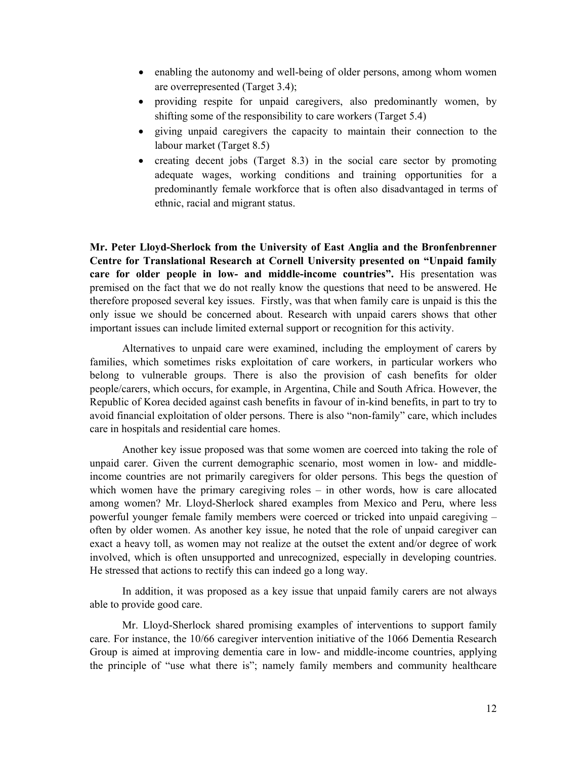- enabling the autonomy and well-being of older persons, among whom women are overrepresented (Target 3.4);
- providing respite for unpaid caregivers, also predominantly women, by shifting some of the responsibility to care workers (Target 5.4)
- giving unpaid caregivers the capacity to maintain their connection to the labour market (Target 8.5)
- creating decent jobs (Target 8.3) in the social care sector by promoting adequate wages, working conditions and training opportunities for a predominantly female workforce that is often also disadvantaged in terms of ethnic, racial and migrant status.

**Mr. Peter Lloyd-Sherlock from the University of East Anglia and the Bronfenbrenner Centre for Translational Research at Cornell University presented on "Unpaid family care for older people in low- and middle-income countries".** His presentation was premised on the fact that we do not really know the questions that need to be answered. He therefore proposed several key issues. Firstly, was that when family care is unpaid is this the only issue we should be concerned about. Research with unpaid carers shows that other important issues can include limited external support or recognition for this activity.

Alternatives to unpaid care were examined, including the employment of carers by families, which sometimes risks exploitation of care workers, in particular workers who belong to vulnerable groups. There is also the provision of cash benefits for older people/carers, which occurs, for example, in Argentina, Chile and South Africa. However, the Republic of Korea decided against cash benefits in favour of in-kind benefits, in part to try to avoid financial exploitation of older persons. There is also "non-family" care, which includes care in hospitals and residential care homes.

Another key issue proposed was that some women are coerced into taking the role of unpaid carer. Given the current demographic scenario, most women in low- and middleincome countries are not primarily caregivers for older persons. This begs the question of which women have the primary caregiving roles – in other words, how is care allocated among women? Mr. Lloyd-Sherlock shared examples from Mexico and Peru, where less powerful younger female family members were coerced or tricked into unpaid caregiving – often by older women. As another key issue, he noted that the role of unpaid caregiver can exact a heavy toll, as women may not realize at the outset the extent and/or degree of work involved, which is often unsupported and unrecognized, especially in developing countries. He stressed that actions to rectify this can indeed go a long way.

In addition, it was proposed as a key issue that unpaid family carers are not always able to provide good care.

Mr. Lloyd-Sherlock shared promising examples of interventions to support family care. For instance, the 10/66 caregiver intervention initiative of the 1066 Dementia Research Group is aimed at improving dementia care in low- and middle-income countries, applying the principle of "use what there is"; namely family members and community healthcare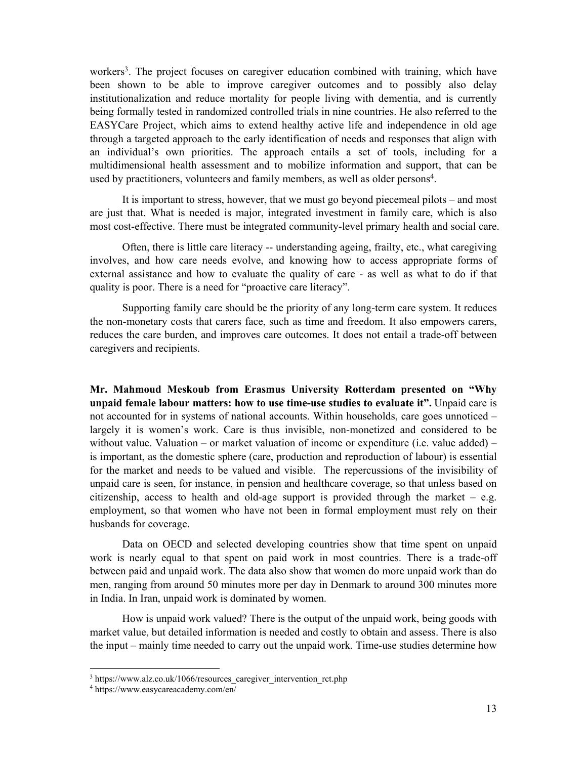workers<sup>3</sup>. The project focuses on caregiver education combined with training, which have been shown to be able to improve caregiver outcomes and to possibly also delay institutionalization and reduce mortality for people living with dementia, and is currently being formally tested in randomized controlled trials in nine countries. He also referred to the EASYCare Project, which aims to extend healthy active life and independence in old age through a targeted approach to the early identification of needs and responses that align with an individual's own priorities. The approach entails a set of tools, including for a multidimensional health assessment and to mobilize information and support, that can be used by practitioners, volunteers and family members, as well as older persons<sup>4</sup>.

It is important to stress, however, that we must go beyond piecemeal pilots – and most are just that. What is needed is major, integrated investment in family care, which is also most cost-effective. There must be integrated community-level primary health and social care.

 Often, there is little care literacy -- understanding ageing, frailty, etc., what caregiving involves, and how care needs evolve, and knowing how to access appropriate forms of external assistance and how to evaluate the quality of care - as well as what to do if that quality is poor. There is a need for "proactive care literacy".

Supporting family care should be the priority of any long-term care system. It reduces the non-monetary costs that carers face, such as time and freedom. It also empowers carers, reduces the care burden, and improves care outcomes. It does not entail a trade-off between caregivers and recipients.

**Mr. Mahmoud Meskoub from Erasmus University Rotterdam presented on "Why unpaid female labour matters: how to use time-use studies to evaluate it".** Unpaid care is not accounted for in systems of national accounts. Within households, care goes unnoticed – largely it is women's work. Care is thus invisible, non-monetized and considered to be without value. Valuation – or market valuation of income or expenditure (i.e. value added) – is important, as the domestic sphere (care, production and reproduction of labour) is essential for the market and needs to be valued and visible. The repercussions of the invisibility of unpaid care is seen, for instance, in pension and healthcare coverage, so that unless based on citizenship, access to health and old-age support is provided through the market  $-$  e.g. employment, so that women who have not been in formal employment must rely on their husbands for coverage.

Data on OECD and selected developing countries show that time spent on unpaid work is nearly equal to that spent on paid work in most countries. There is a trade-off between paid and unpaid work. The data also show that women do more unpaid work than do men, ranging from around 50 minutes more per day in Denmark to around 300 minutes more in India. In Iran, unpaid work is dominated by women.

How is unpaid work valued? There is the output of the unpaid work, being goods with market value, but detailed information is needed and costly to obtain and assess. There is also the input – mainly time needed to carry out the unpaid work. Time-use studies determine how

 $3 \text{ https://www.alz.co.uk/1066/resources\_caregiver_intervention\_rct.php$ <br> $4 \text{ https://www.easycareacademy.com/en/}$ 

https://www.easycareacademy.com/en/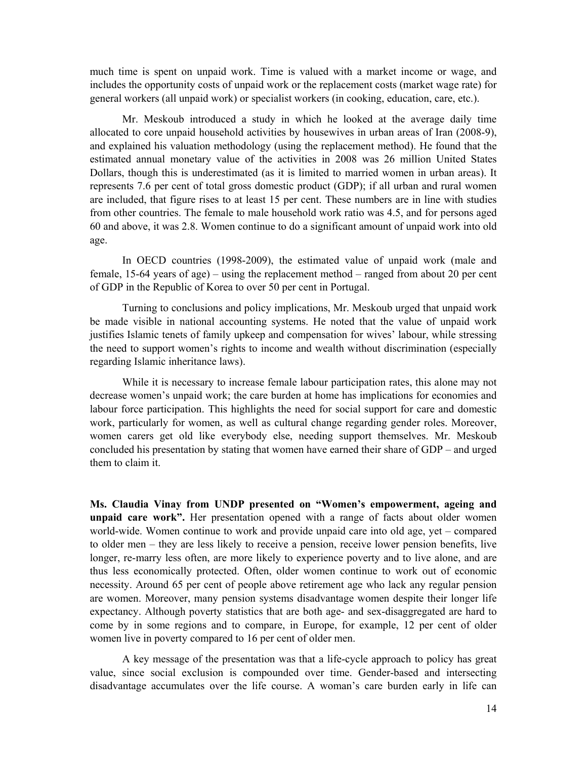much time is spent on unpaid work. Time is valued with a market income or wage, and includes the opportunity costs of unpaid work or the replacement costs (market wage rate) for general workers (all unpaid work) or specialist workers (in cooking, education, care, etc.).

Mr. Meskoub introduced a study in which he looked at the average daily time allocated to core unpaid household activities by housewives in urban areas of Iran (2008-9), and explained his valuation methodology (using the replacement method). He found that the estimated annual monetary value of the activities in 2008 was 26 million United States Dollars, though this is underestimated (as it is limited to married women in urban areas). It represents 7.6 per cent of total gross domestic product (GDP); if all urban and rural women are included, that figure rises to at least 15 per cent. These numbers are in line with studies from other countries. The female to male household work ratio was 4.5, and for persons aged 60 and above, it was 2.8. Women continue to do a significant amount of unpaid work into old age.

In OECD countries (1998-2009), the estimated value of unpaid work (male and female, 15-64 years of age) – using the replacement method – ranged from about 20 per cent of GDP in the Republic of Korea to over 50 per cent in Portugal.

Turning to conclusions and policy implications, Mr. Meskoub urged that unpaid work be made visible in national accounting systems. He noted that the value of unpaid work justifies Islamic tenets of family upkeep and compensation for wives' labour, while stressing the need to support women's rights to income and wealth without discrimination (especially regarding Islamic inheritance laws).

While it is necessary to increase female labour participation rates, this alone may not decrease women's unpaid work; the care burden at home has implications for economies and labour force participation. This highlights the need for social support for care and domestic work, particularly for women, as well as cultural change regarding gender roles. Moreover, women carers get old like everybody else, needing support themselves. Mr. Meskoub concluded his presentation by stating that women have earned their share of GDP – and urged them to claim it.

**Ms. Claudia Vinay from UNDP presented on "Women's empowerment, ageing and unpaid care work".** Her presentation opened with a range of facts about older women world-wide. Women continue to work and provide unpaid care into old age, yet – compared to older men – they are less likely to receive a pension, receive lower pension benefits, live longer, re-marry less often, are more likely to experience poverty and to live alone, and are thus less economically protected. Often, older women continue to work out of economic necessity. Around 65 per cent of people above retirement age who lack any regular pension are women. Moreover, many pension systems disadvantage women despite their longer life expectancy. Although poverty statistics that are both age- and sex-disaggregated are hard to come by in some regions and to compare, in Europe, for example, 12 per cent of older women live in poverty compared to 16 per cent of older men.

 A key message of the presentation was that a life-cycle approach to policy has great value, since social exclusion is compounded over time. Gender-based and intersecting disadvantage accumulates over the life course. A woman's care burden early in life can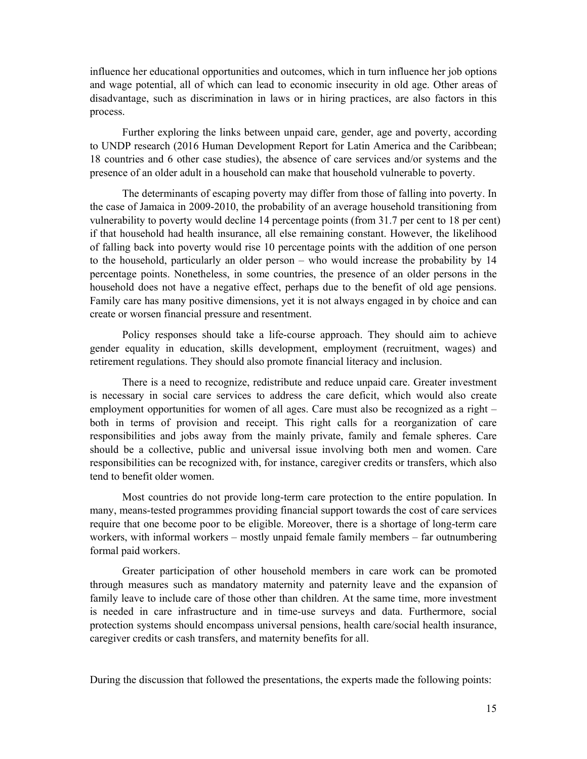influence her educational opportunities and outcomes, which in turn influence her job options and wage potential, all of which can lead to economic insecurity in old age. Other areas of disadvantage, such as discrimination in laws or in hiring practices, are also factors in this process.

Further exploring the links between unpaid care, gender, age and poverty, according to UNDP research (2016 Human Development Report for Latin America and the Caribbean; 18 countries and 6 other case studies), the absence of care services and/or systems and the presence of an older adult in a household can make that household vulnerable to poverty.

The determinants of escaping poverty may differ from those of falling into poverty. In the case of Jamaica in 2009-2010, the probability of an average household transitioning from vulnerability to poverty would decline 14 percentage points (from 31.7 per cent to 18 per cent) if that household had health insurance, all else remaining constant. However, the likelihood of falling back into poverty would rise 10 percentage points with the addition of one person to the household, particularly an older person – who would increase the probability by 14 percentage points. Nonetheless, in some countries, the presence of an older persons in the household does not have a negative effect, perhaps due to the benefit of old age pensions. Family care has many positive dimensions, yet it is not always engaged in by choice and can create or worsen financial pressure and resentment.

Policy responses should take a life-course approach. They should aim to achieve gender equality in education, skills development, employment (recruitment, wages) and retirement regulations. They should also promote financial literacy and inclusion.

There is a need to recognize, redistribute and reduce unpaid care. Greater investment is necessary in social care services to address the care deficit, which would also create employment opportunities for women of all ages. Care must also be recognized as a right – both in terms of provision and receipt. This right calls for a reorganization of care responsibilities and jobs away from the mainly private, family and female spheres. Care should be a collective, public and universal issue involving both men and women. Care responsibilities can be recognized with, for instance, caregiver credits or transfers, which also tend to benefit older women.

Most countries do not provide long-term care protection to the entire population. In many, means-tested programmes providing financial support towards the cost of care services require that one become poor to be eligible. Moreover, there is a shortage of long-term care workers, with informal workers – mostly unpaid female family members – far outnumbering formal paid workers.

Greater participation of other household members in care work can be promoted through measures such as mandatory maternity and paternity leave and the expansion of family leave to include care of those other than children. At the same time, more investment is needed in care infrastructure and in time-use surveys and data. Furthermore, social protection systems should encompass universal pensions, health care/social health insurance, caregiver credits or cash transfers, and maternity benefits for all.

During the discussion that followed the presentations, the experts made the following points: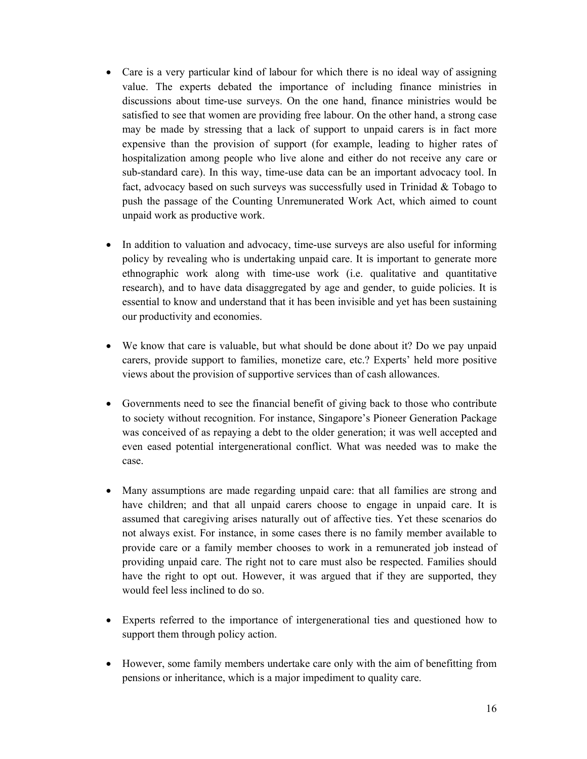- Care is a very particular kind of labour for which there is no ideal way of assigning value. The experts debated the importance of including finance ministries in discussions about time-use surveys. On the one hand, finance ministries would be satisfied to see that women are providing free labour. On the other hand, a strong case may be made by stressing that a lack of support to unpaid carers is in fact more expensive than the provision of support (for example, leading to higher rates of hospitalization among people who live alone and either do not receive any care or sub-standard care). In this way, time-use data can be an important advocacy tool. In fact, advocacy based on such surveys was successfully used in Trinidad  $\&$  Tobago to push the passage of the Counting Unremunerated Work Act, which aimed to count unpaid work as productive work.
- In addition to valuation and advocacy, time-use surveys are also useful for informing policy by revealing who is undertaking unpaid care. It is important to generate more ethnographic work along with time-use work (i.e. qualitative and quantitative research), and to have data disaggregated by age and gender, to guide policies. It is essential to know and understand that it has been invisible and yet has been sustaining our productivity and economies.
- We know that care is valuable, but what should be done about it? Do we pay unpaid carers, provide support to families, monetize care, etc.? Experts' held more positive views about the provision of supportive services than of cash allowances.
- Governments need to see the financial benefit of giving back to those who contribute to society without recognition. For instance, Singapore's Pioneer Generation Package was conceived of as repaying a debt to the older generation; it was well accepted and even eased potential intergenerational conflict. What was needed was to make the case.
- Many assumptions are made regarding unpaid care: that all families are strong and have children; and that all unpaid carers choose to engage in unpaid care. It is assumed that caregiving arises naturally out of affective ties. Yet these scenarios do not always exist. For instance, in some cases there is no family member available to provide care or a family member chooses to work in a remunerated job instead of providing unpaid care. The right not to care must also be respected. Families should have the right to opt out. However, it was argued that if they are supported, they would feel less inclined to do so.
- Experts referred to the importance of intergenerational ties and questioned how to support them through policy action.
- However, some family members undertake care only with the aim of benefitting from pensions or inheritance, which is a major impediment to quality care.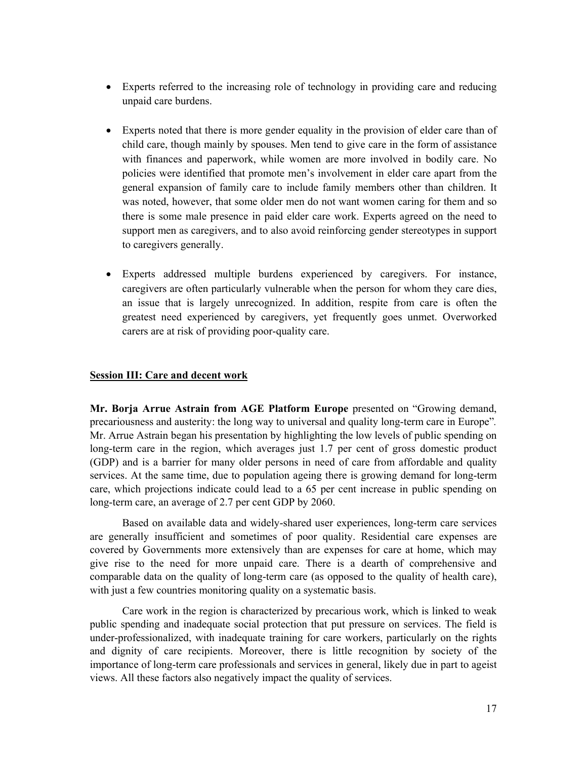- Experts referred to the increasing role of technology in providing care and reducing unpaid care burdens.
- Experts noted that there is more gender equality in the provision of elder care than of child care, though mainly by spouses. Men tend to give care in the form of assistance with finances and paperwork, while women are more involved in bodily care. No policies were identified that promote men's involvement in elder care apart from the general expansion of family care to include family members other than children. It was noted, however, that some older men do not want women caring for them and so there is some male presence in paid elder care work. Experts agreed on the need to support men as caregivers, and to also avoid reinforcing gender stereotypes in support to caregivers generally.
- Experts addressed multiple burdens experienced by caregivers. For instance, caregivers are often particularly vulnerable when the person for whom they care dies, an issue that is largely unrecognized. In addition, respite from care is often the greatest need experienced by caregivers, yet frequently goes unmet. Overworked carers are at risk of providing poor-quality care.

## **Session III: Care and decent work**

**Mr. Borja Arrue Astrain from AGE Platform Europe** presented on "Growing demand, precariousness and austerity: the long way to universal and quality long-term care in Europe"*.* Mr. Arrue Astrain began his presentation by highlighting the low levels of public spending on long-term care in the region, which averages just 1.7 per cent of gross domestic product (GDP) and is a barrier for many older persons in need of care from affordable and quality services. At the same time, due to population ageing there is growing demand for long-term care, which projections indicate could lead to a 65 per cent increase in public spending on long-term care, an average of 2.7 per cent GDP by 2060.

Based on available data and widely-shared user experiences, long-term care services are generally insufficient and sometimes of poor quality. Residential care expenses are covered by Governments more extensively than are expenses for care at home, which may give rise to the need for more unpaid care. There is a dearth of comprehensive and comparable data on the quality of long-term care (as opposed to the quality of health care), with just a few countries monitoring quality on a systematic basis.

Care work in the region is characterized by precarious work, which is linked to weak public spending and inadequate social protection that put pressure on services. The field is under-professionalized, with inadequate training for care workers, particularly on the rights and dignity of care recipients. Moreover, there is little recognition by society of the importance of long-term care professionals and services in general, likely due in part to ageist views. All these factors also negatively impact the quality of services.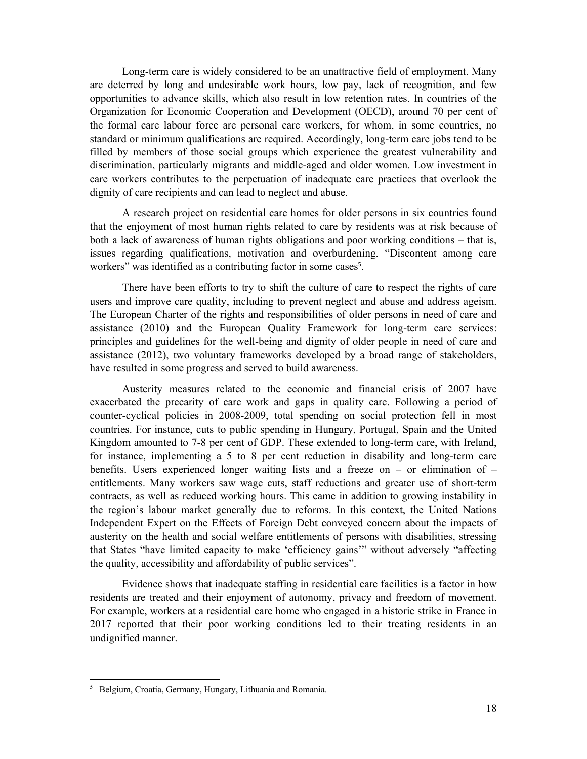Long-term care is widely considered to be an unattractive field of employment. Many are deterred by long and undesirable work hours, low pay, lack of recognition, and few opportunities to advance skills, which also result in low retention rates. In countries of the Organization for Economic Cooperation and Development (OECD), around 70 per cent of the formal care labour force are personal care workers, for whom, in some countries, no standard or minimum qualifications are required. Accordingly, long-term care jobs tend to be filled by members of those social groups which experience the greatest vulnerability and discrimination, particularly migrants and middle-aged and older women. Low investment in care workers contributes to the perpetuation of inadequate care practices that overlook the dignity of care recipients and can lead to neglect and abuse.

A research project on residential care homes for older persons in six countries found that the enjoyment of most human rights related to care by residents was at risk because of both a lack of awareness of human rights obligations and poor working conditions – that is, issues regarding qualifications, motivation and overburdening. "Discontent among care workers" was identified as a contributing factor in some cases<sup>5</sup>.

There have been efforts to try to shift the culture of care to respect the rights of care users and improve care quality, including to prevent neglect and abuse and address ageism. The European Charter of the rights and responsibilities of older persons in need of care and assistance (2010) and the European Quality Framework for long-term care services: principles and guidelines for the well-being and dignity of older people in need of care and assistance (2012), two voluntary frameworks developed by a broad range of stakeholders, have resulted in some progress and served to build awareness.

Austerity measures related to the economic and financial crisis of 2007 have exacerbated the precarity of care work and gaps in quality care. Following a period of counter-cyclical policies in 2008-2009, total spending on social protection fell in most countries. For instance, cuts to public spending in Hungary, Portugal, Spain and the United Kingdom amounted to 7-8 per cent of GDP. These extended to long-term care, with Ireland, for instance, implementing a 5 to 8 per cent reduction in disability and long-term care benefits. Users experienced longer waiting lists and a freeze on – or elimination of – entitlements. Many workers saw wage cuts, staff reductions and greater use of short-term contracts, as well as reduced working hours. This came in addition to growing instability in the region's labour market generally due to reforms. In this context, the United Nations Independent Expert on the Effects of Foreign Debt conveyed concern about the impacts of austerity on the health and social welfare entitlements of persons with disabilities, stressing that States "have limited capacity to make 'efficiency gains'" without adversely "affecting the quality, accessibility and affordability of public services".

Evidence shows that inadequate staffing in residential care facilities is a factor in how residents are treated and their enjoyment of autonomy, privacy and freedom of movement. For example, workers at a residential care home who engaged in a historic strike in France in 2017 reported that their poor working conditions led to their treating residents in an undignified manner.

<sup>5</sup> Belgium, Croatia, Germany, Hungary, Lithuania and Romania.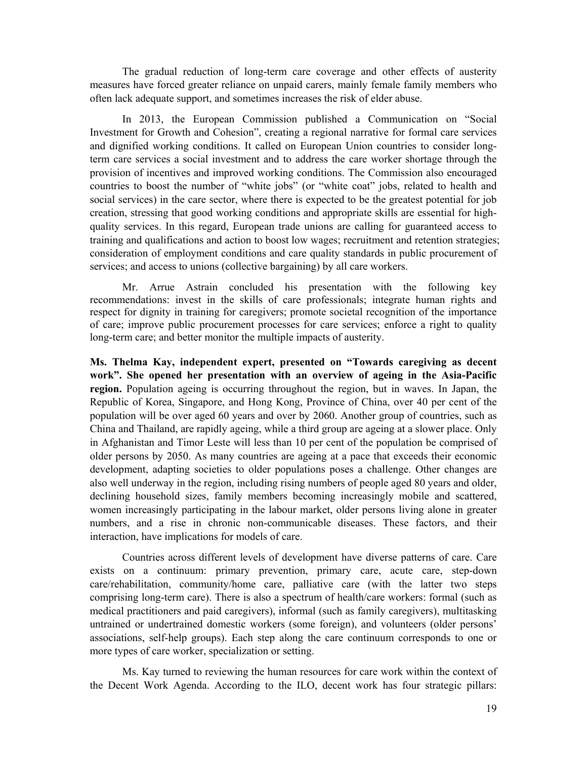The gradual reduction of long-term care coverage and other effects of austerity measures have forced greater reliance on unpaid carers, mainly female family members who often lack adequate support, and sometimes increases the risk of elder abuse.

In 2013, the European Commission published a Communication on "Social Investment for Growth and Cohesion", creating a regional narrative for formal care services and dignified working conditions. It called on European Union countries to consider longterm care services a social investment and to address the care worker shortage through the provision of incentives and improved working conditions. The Commission also encouraged countries to boost the number of "white jobs" (or "white coat" jobs, related to health and social services) in the care sector, where there is expected to be the greatest potential for job creation, stressing that good working conditions and appropriate skills are essential for highquality services. In this regard, European trade unions are calling for guaranteed access to training and qualifications and action to boost low wages; recruitment and retention strategies; consideration of employment conditions and care quality standards in public procurement of services; and access to unions (collective bargaining) by all care workers.

Mr. Arrue Astrain concluded his presentation with the following key recommendations: invest in the skills of care professionals; integrate human rights and respect for dignity in training for caregivers; promote societal recognition of the importance of care; improve public procurement processes for care services; enforce a right to quality long-term care; and better monitor the multiple impacts of austerity.

**Ms. Thelma Kay, independent expert, presented on "Towards caregiving as decent work". She opened her presentation with an overview of ageing in the Asia-Pacific region.** Population ageing is occurring throughout the region, but in waves. In Japan, the Republic of Korea, Singapore, and Hong Kong, Province of China, over 40 per cent of the population will be over aged 60 years and over by 2060. Another group of countries, such as China and Thailand, are rapidly ageing, while a third group are ageing at a slower place. Only in Afghanistan and Timor Leste will less than 10 per cent of the population be comprised of older persons by 2050. As many countries are ageing at a pace that exceeds their economic development, adapting societies to older populations poses a challenge. Other changes are also well underway in the region, including rising numbers of people aged 80 years and older, declining household sizes, family members becoming increasingly mobile and scattered, women increasingly participating in the labour market, older persons living alone in greater numbers, and a rise in chronic non-communicable diseases. These factors, and their interaction, have implications for models of care.

Countries across different levels of development have diverse patterns of care. Care exists on a continuum: primary prevention, primary care, acute care, step-down care/rehabilitation, community/home care, palliative care (with the latter two steps comprising long-term care). There is also a spectrum of health/care workers: formal (such as medical practitioners and paid caregivers), informal (such as family caregivers), multitasking untrained or undertrained domestic workers (some foreign), and volunteers (older persons' associations, self-help groups). Each step along the care continuum corresponds to one or more types of care worker, specialization or setting.

Ms. Kay turned to reviewing the human resources for care work within the context of the Decent Work Agenda. According to the ILO, decent work has four strategic pillars: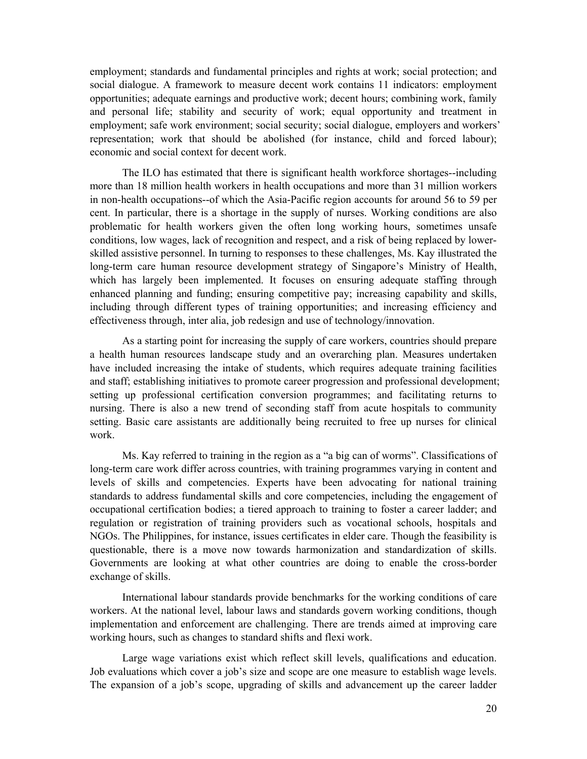employment; standards and fundamental principles and rights at work; social protection; and social dialogue. A framework to measure decent work contains 11 indicators: employment opportunities; adequate earnings and productive work; decent hours; combining work, family and personal life; stability and security of work; equal opportunity and treatment in employment; safe work environment; social security; social dialogue, employers and workers' representation; work that should be abolished (for instance, child and forced labour); economic and social context for decent work.

The ILO has estimated that there is significant health workforce shortages--including more than 18 million health workers in health occupations and more than 31 million workers in non-health occupations--of which the Asia-Pacific region accounts for around 56 to 59 per cent. In particular, there is a shortage in the supply of nurses. Working conditions are also problematic for health workers given the often long working hours, sometimes unsafe conditions, low wages, lack of recognition and respect, and a risk of being replaced by lowerskilled assistive personnel. In turning to responses to these challenges, Ms. Kay illustrated the long-term care human resource development strategy of Singapore's Ministry of Health, which has largely been implemented. It focuses on ensuring adequate staffing through enhanced planning and funding; ensuring competitive pay; increasing capability and skills, including through different types of training opportunities; and increasing efficiency and effectiveness through, inter alia, job redesign and use of technology/innovation.

As a starting point for increasing the supply of care workers, countries should prepare a health human resources landscape study and an overarching plan. Measures undertaken have included increasing the intake of students, which requires adequate training facilities and staff; establishing initiatives to promote career progression and professional development; setting up professional certification conversion programmes; and facilitating returns to nursing. There is also a new trend of seconding staff from acute hospitals to community setting. Basic care assistants are additionally being recruited to free up nurses for clinical work.

Ms. Kay referred to training in the region as a "a big can of worms". Classifications of long-term care work differ across countries, with training programmes varying in content and levels of skills and competencies. Experts have been advocating for national training standards to address fundamental skills and core competencies, including the engagement of occupational certification bodies; a tiered approach to training to foster a career ladder; and regulation or registration of training providers such as vocational schools, hospitals and NGOs. The Philippines, for instance, issues certificates in elder care. Though the feasibility is questionable, there is a move now towards harmonization and standardization of skills. Governments are looking at what other countries are doing to enable the cross-border exchange of skills.

International labour standards provide benchmarks for the working conditions of care workers. At the national level, labour laws and standards govern working conditions, though implementation and enforcement are challenging. There are trends aimed at improving care working hours, such as changes to standard shifts and flexi work.

Large wage variations exist which reflect skill levels, qualifications and education. Job evaluations which cover a job's size and scope are one measure to establish wage levels. The expansion of a job's scope, upgrading of skills and advancement up the career ladder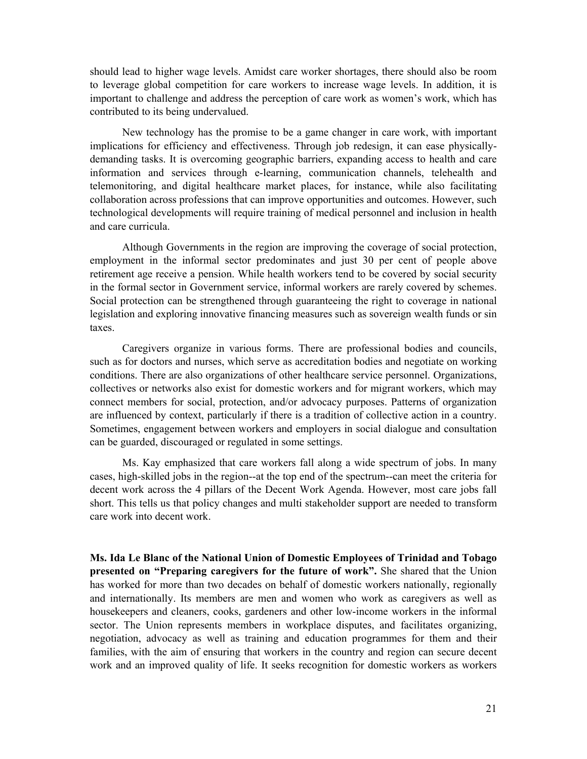should lead to higher wage levels. Amidst care worker shortages, there should also be room to leverage global competition for care workers to increase wage levels. In addition, it is important to challenge and address the perception of care work as women's work, which has contributed to its being undervalued.

New technology has the promise to be a game changer in care work, with important implications for efficiency and effectiveness. Through job redesign, it can ease physicallydemanding tasks. It is overcoming geographic barriers, expanding access to health and care information and services through e-learning, communication channels, telehealth and telemonitoring, and digital healthcare market places, for instance, while also facilitating collaboration across professions that can improve opportunities and outcomes. However, such technological developments will require training of medical personnel and inclusion in health and care curricula.

Although Governments in the region are improving the coverage of social protection, employment in the informal sector predominates and just 30 per cent of people above retirement age receive a pension. While health workers tend to be covered by social security in the formal sector in Government service, informal workers are rarely covered by schemes. Social protection can be strengthened through guaranteeing the right to coverage in national legislation and exploring innovative financing measures such as sovereign wealth funds or sin taxes.

Caregivers organize in various forms. There are professional bodies and councils, such as for doctors and nurses, which serve as accreditation bodies and negotiate on working conditions. There are also organizations of other healthcare service personnel. Organizations, collectives or networks also exist for domestic workers and for migrant workers, which may connect members for social, protection, and/or advocacy purposes. Patterns of organization are influenced by context, particularly if there is a tradition of collective action in a country. Sometimes, engagement between workers and employers in social dialogue and consultation can be guarded, discouraged or regulated in some settings.

Ms. Kay emphasized that care workers fall along a wide spectrum of jobs. In many cases, high-skilled jobs in the region--at the top end of the spectrum--can meet the criteria for decent work across the 4 pillars of the Decent Work Agenda. However, most care jobs fall short. This tells us that policy changes and multi stakeholder support are needed to transform care work into decent work.

**Ms. Ida Le Blanc of the National Union of Domestic Employees of Trinidad and Tobago presented on "Preparing caregivers for the future of work".** She shared that the Union has worked for more than two decades on behalf of domestic workers nationally, regionally and internationally. Its members are men and women who work as caregivers as well as housekeepers and cleaners, cooks, gardeners and other low-income workers in the informal sector. The Union represents members in workplace disputes, and facilitates organizing, negotiation, advocacy as well as training and education programmes for them and their families, with the aim of ensuring that workers in the country and region can secure decent work and an improved quality of life. It seeks recognition for domestic workers as workers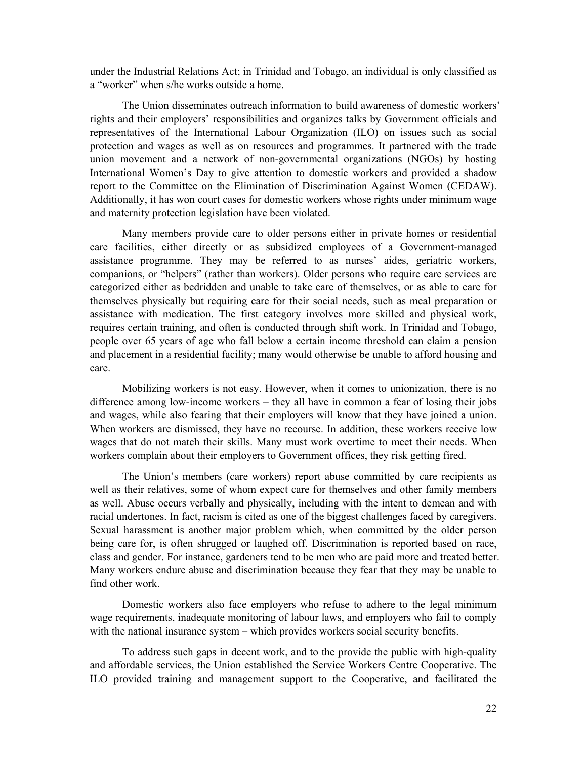under the Industrial Relations Act; in Trinidad and Tobago, an individual is only classified as a "worker" when s/he works outside a home.

The Union disseminates outreach information to build awareness of domestic workers' rights and their employers' responsibilities and organizes talks by Government officials and representatives of the International Labour Organization (ILO) on issues such as social protection and wages as well as on resources and programmes. It partnered with the trade union movement and a network of non-governmental organizations (NGOs) by hosting International Women's Day to give attention to domestic workers and provided a shadow report to the Committee on the Elimination of Discrimination Against Women (CEDAW). Additionally, it has won court cases for domestic workers whose rights under minimum wage and maternity protection legislation have been violated.

Many members provide care to older persons either in private homes or residential care facilities, either directly or as subsidized employees of a Government-managed assistance programme. They may be referred to as nurses' aides, geriatric workers, companions, or "helpers" (rather than workers). Older persons who require care services are categorized either as bedridden and unable to take care of themselves, or as able to care for themselves physically but requiring care for their social needs, such as meal preparation or assistance with medication. The first category involves more skilled and physical work, requires certain training, and often is conducted through shift work. In Trinidad and Tobago, people over 65 years of age who fall below a certain income threshold can claim a pension and placement in a residential facility; many would otherwise be unable to afford housing and care.

Mobilizing workers is not easy. However, when it comes to unionization, there is no difference among low-income workers – they all have in common a fear of losing their jobs and wages, while also fearing that their employers will know that they have joined a union. When workers are dismissed, they have no recourse. In addition, these workers receive low wages that do not match their skills. Many must work overtime to meet their needs. When workers complain about their employers to Government offices, they risk getting fired.

The Union's members (care workers) report abuse committed by care recipients as well as their relatives, some of whom expect care for themselves and other family members as well. Abuse occurs verbally and physically, including with the intent to demean and with racial undertones. In fact, racism is cited as one of the biggest challenges faced by caregivers. Sexual harassment is another major problem which, when committed by the older person being care for, is often shrugged or laughed off. Discrimination is reported based on race, class and gender. For instance, gardeners tend to be men who are paid more and treated better. Many workers endure abuse and discrimination because they fear that they may be unable to find other work.

Domestic workers also face employers who refuse to adhere to the legal minimum wage requirements, inadequate monitoring of labour laws, and employers who fail to comply with the national insurance system – which provides workers social security benefits.

To address such gaps in decent work, and to the provide the public with high-quality and affordable services, the Union established the Service Workers Centre Cooperative. The ILO provided training and management support to the Cooperative, and facilitated the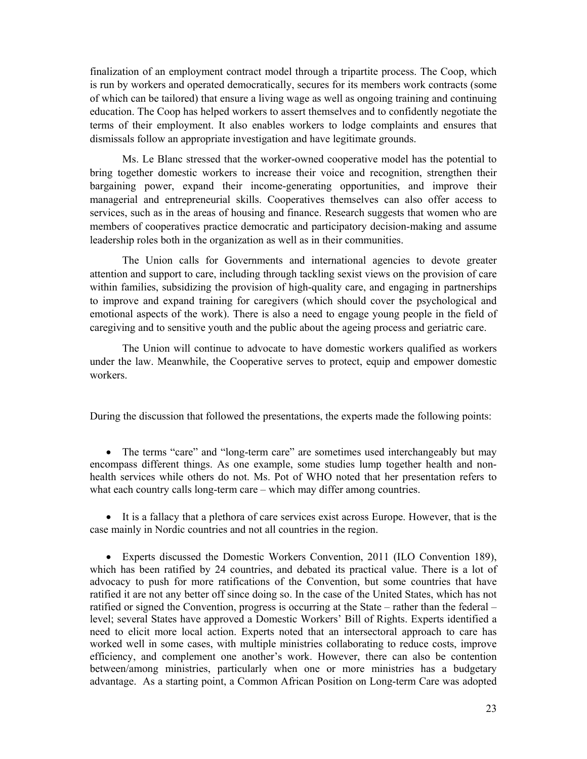finalization of an employment contract model through a tripartite process. The Coop, which is run by workers and operated democratically, secures for its members work contracts (some of which can be tailored) that ensure a living wage as well as ongoing training and continuing education. The Coop has helped workers to assert themselves and to confidently negotiate the terms of their employment. It also enables workers to lodge complaints and ensures that dismissals follow an appropriate investigation and have legitimate grounds.

Ms. Le Blanc stressed that the worker-owned cooperative model has the potential to bring together domestic workers to increase their voice and recognition, strengthen their bargaining power, expand their income-generating opportunities, and improve their managerial and entrepreneurial skills. Cooperatives themselves can also offer access to services, such as in the areas of housing and finance. Research suggests that women who are members of cooperatives practice democratic and participatory decision-making and assume leadership roles both in the organization as well as in their communities.

The Union calls for Governments and international agencies to devote greater attention and support to care, including through tackling sexist views on the provision of care within families, subsidizing the provision of high-quality care, and engaging in partnerships to improve and expand training for caregivers (which should cover the psychological and emotional aspects of the work). There is also a need to engage young people in the field of caregiving and to sensitive youth and the public about the ageing process and geriatric care.

The Union will continue to advocate to have domestic workers qualified as workers under the law. Meanwhile, the Cooperative serves to protect, equip and empower domestic workers.

During the discussion that followed the presentations, the experts made the following points:

• The terms "care" and "long-term care" are sometimes used interchangeably but may encompass different things. As one example, some studies lump together health and nonhealth services while others do not. Ms. Pot of WHO noted that her presentation refers to what each country calls long-term care – which may differ among countries.

 It is a fallacy that a plethora of care services exist across Europe. However, that is the case mainly in Nordic countries and not all countries in the region.

 Experts discussed the Domestic Workers Convention, 2011 (ILO Convention 189), which has been ratified by 24 countries, and debated its practical value. There is a lot of advocacy to push for more ratifications of the Convention, but some countries that have ratified it are not any better off since doing so. In the case of the United States, which has not ratified or signed the Convention, progress is occurring at the State – rather than the federal – level; several States have approved a Domestic Workers' Bill of Rights. Experts identified a need to elicit more local action. Experts noted that an intersectoral approach to care has worked well in some cases, with multiple ministries collaborating to reduce costs, improve efficiency, and complement one another's work. However, there can also be contention between/among ministries, particularly when one or more ministries has a budgetary advantage. As a starting point, a Common African Position on Long-term Care was adopted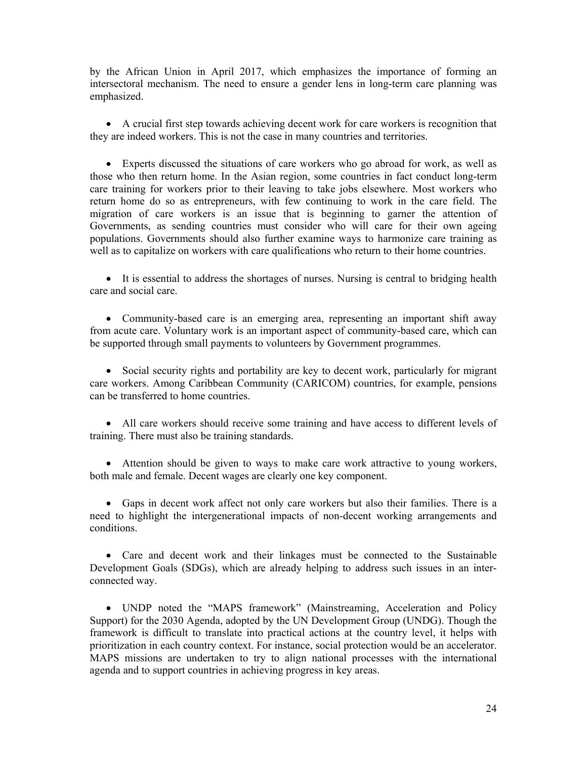by the African Union in April 2017, which emphasizes the importance of forming an intersectoral mechanism. The need to ensure a gender lens in long-term care planning was emphasized.

 A crucial first step towards achieving decent work for care workers is recognition that they are indeed workers. This is not the case in many countries and territories.

 Experts discussed the situations of care workers who go abroad for work, as well as those who then return home. In the Asian region, some countries in fact conduct long-term care training for workers prior to their leaving to take jobs elsewhere. Most workers who return home do so as entrepreneurs, with few continuing to work in the care field. The migration of care workers is an issue that is beginning to garner the attention of Governments, as sending countries must consider who will care for their own ageing populations. Governments should also further examine ways to harmonize care training as well as to capitalize on workers with care qualifications who return to their home countries.

 It is essential to address the shortages of nurses. Nursing is central to bridging health care and social care.

 Community-based care is an emerging area, representing an important shift away from acute care. Voluntary work is an important aspect of community-based care, which can be supported through small payments to volunteers by Government programmes.

 Social security rights and portability are key to decent work, particularly for migrant care workers. Among Caribbean Community (CARICOM) countries, for example, pensions can be transferred to home countries.

 All care workers should receive some training and have access to different levels of training. There must also be training standards.

 Attention should be given to ways to make care work attractive to young workers, both male and female. Decent wages are clearly one key component.

 Gaps in decent work affect not only care workers but also their families. There is a need to highlight the intergenerational impacts of non-decent working arrangements and conditions.

 Care and decent work and their linkages must be connected to the Sustainable Development Goals (SDGs), which are already helping to address such issues in an interconnected way.

 UNDP noted the "MAPS framework" (Mainstreaming, Acceleration and Policy Support) for the 2030 Agenda, adopted by the UN Development Group (UNDG). Though the framework is difficult to translate into practical actions at the country level, it helps with prioritization in each country context. For instance, social protection would be an accelerator. MAPS missions are undertaken to try to align national processes with the international agenda and to support countries in achieving progress in key areas.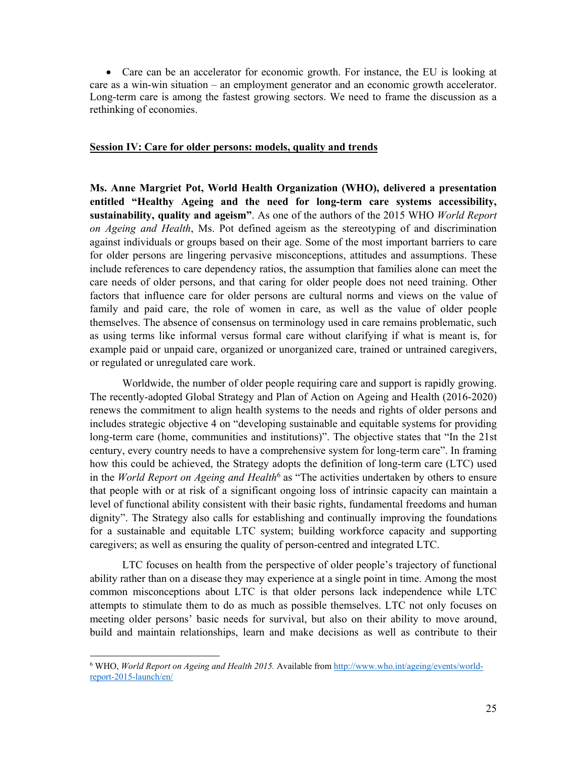Care can be an accelerator for economic growth. For instance, the EU is looking at care as a win-win situation – an employment generator and an economic growth accelerator. Long-term care is among the fastest growing sectors. We need to frame the discussion as a rethinking of economies.

#### **Session IV: Care for older persons: models, quality and trends**

**Ms. Anne Margriet Pot, World Health Organization (WHO), delivered a presentation entitled "Healthy Ageing and the need for long-term care systems accessibility, sustainability, quality and ageism"**. As one of the authors of the 2015 WHO *World Report on Ageing and Health*, Ms. Pot defined ageism as the stereotyping of and discrimination against individuals or groups based on their age. Some of the most important barriers to care for older persons are lingering pervasive misconceptions, attitudes and assumptions. These include references to care dependency ratios, the assumption that families alone can meet the care needs of older persons, and that caring for older people does not need training. Other factors that influence care for older persons are cultural norms and views on the value of family and paid care, the role of women in care, as well as the value of older people themselves. The absence of consensus on terminology used in care remains problematic, such as using terms like informal versus formal care without clarifying if what is meant is, for example paid or unpaid care, organized or unorganized care, trained or untrained caregivers, or regulated or unregulated care work.

Worldwide, the number of older people requiring care and support is rapidly growing. The recently-adopted Global Strategy and Plan of Action on Ageing and Health (2016-2020) renews the commitment to align health systems to the needs and rights of older persons and includes strategic objective 4 on "developing sustainable and equitable systems for providing long-term care (home, communities and institutions)". The objective states that "In the 21st century, every country needs to have a comprehensive system for long-term care". In framing how this could be achieved, the Strategy adopts the definition of long-term care (LTC) used in the *World Report on Ageing and Health*6 as "The activities undertaken by others to ensure that people with or at risk of a significant ongoing loss of intrinsic capacity can maintain a level of functional ability consistent with their basic rights, fundamental freedoms and human dignity". The Strategy also calls for establishing and continually improving the foundations for a sustainable and equitable LTC system; building workforce capacity and supporting caregivers; as well as ensuring the quality of person-centred and integrated LTC.

LTC focuses on health from the perspective of older people's trajectory of functional ability rather than on a disease they may experience at a single point in time. Among the most common misconceptions about LTC is that older persons lack independence while LTC attempts to stimulate them to do as much as possible themselves. LTC not only focuses on meeting older persons' basic needs for survival, but also on their ability to move around, build and maintain relationships, learn and make decisions as well as contribute to their

<sup>&</sup>lt;sup>6</sup> WHO, *World Report on Ageing and Health 2015*. Available from http://www.who.int/ageing/events/worldreport-2015-launch/en/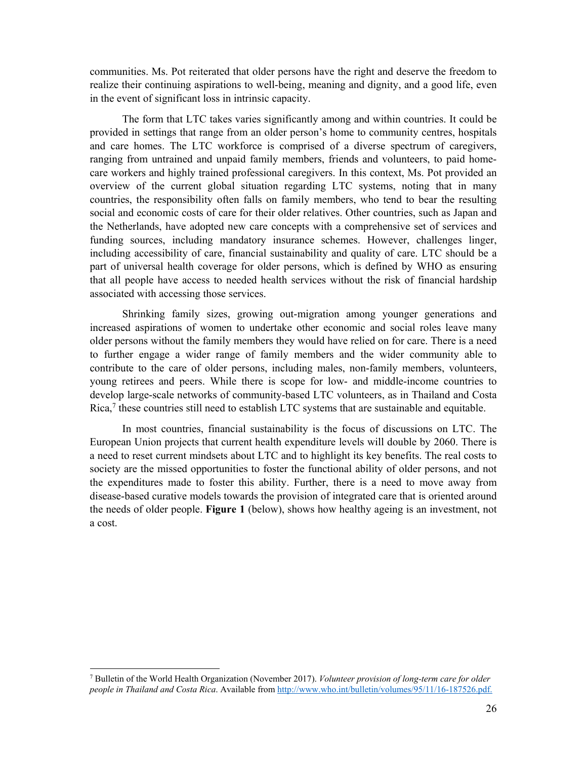communities. Ms. Pot reiterated that older persons have the right and deserve the freedom to realize their continuing aspirations to well-being, meaning and dignity, and a good life, even in the event of significant loss in intrinsic capacity.

 The form that LTC takes varies significantly among and within countries. It could be provided in settings that range from an older person's home to community centres, hospitals and care homes. The LTC workforce is comprised of a diverse spectrum of caregivers, ranging from untrained and unpaid family members, friends and volunteers, to paid homecare workers and highly trained professional caregivers. In this context, Ms. Pot provided an overview of the current global situation regarding LTC systems, noting that in many countries, the responsibility often falls on family members, who tend to bear the resulting social and economic costs of care for their older relatives. Other countries, such as Japan and the Netherlands, have adopted new care concepts with a comprehensive set of services and funding sources, including mandatory insurance schemes. However, challenges linger, including accessibility of care, financial sustainability and quality of care. LTC should be a part of universal health coverage for older persons, which is defined by WHO as ensuring that all people have access to needed health services without the risk of financial hardship associated with accessing those services.

Shrinking family sizes, growing out-migration among younger generations and increased aspirations of women to undertake other economic and social roles leave many older persons without the family members they would have relied on for care. There is a need to further engage a wider range of family members and the wider community able to contribute to the care of older persons, including males, non-family members, volunteers, young retirees and peers. While there is scope for low- and middle-income countries to develop large-scale networks of community-based LTC volunteers, as in Thailand and Costa Rica,<sup>7</sup> these countries still need to establish LTC systems that are sustainable and equitable.

 In most countries, financial sustainability is the focus of discussions on LTC. The European Union projects that current health expenditure levels will double by 2060. There is a need to reset current mindsets about LTC and to highlight its key benefits. The real costs to society are the missed opportunities to foster the functional ability of older persons, and not the expenditures made to foster this ability. Further, there is a need to move away from disease-based curative models towards the provision of integrated care that is oriented around the needs of older people. **Figure 1** (below), shows how healthy ageing is an investment, not a cost.

<sup>7</sup> Bulletin of the World Health Organization (November 2017). *Volunteer provision of long-term care for older people in Thailand and Costa Rica*. Available from http://www.who.int/bulletin/volumes/95/11/16-187526.pdf.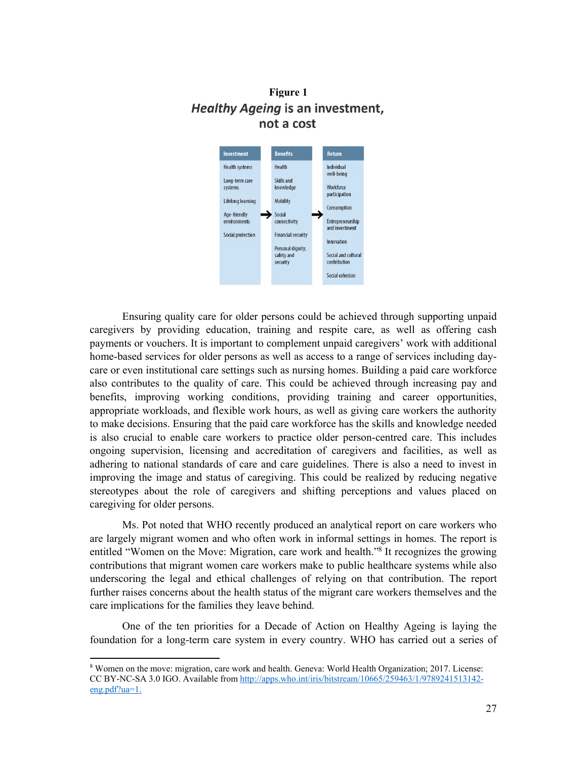# **Figure 1 Healthy Ageing is an investment,** not a cost



Ensuring quality care for older persons could be achieved through supporting unpaid caregivers by providing education, training and respite care, as well as offering cash payments or vouchers. It is important to complement unpaid caregivers' work with additional home-based services for older persons as well as access to a range of services including daycare or even institutional care settings such as nursing homes. Building a paid care workforce also contributes to the quality of care. This could be achieved through increasing pay and benefits, improving working conditions, providing training and career opportunities, appropriate workloads, and flexible work hours, as well as giving care workers the authority to make decisions. Ensuring that the paid care workforce has the skills and knowledge needed is also crucial to enable care workers to practice older person-centred care. This includes ongoing supervision, licensing and accreditation of caregivers and facilities, as well as adhering to national standards of care and care guidelines. There is also a need to invest in improving the image and status of caregiving. This could be realized by reducing negative stereotypes about the role of caregivers and shifting perceptions and values placed on caregiving for older persons.

 Ms. Pot noted that WHO recently produced an analytical report on care workers who are largely migrant women and who often work in informal settings in homes. The report is entitled "Women on the Move: Migration, care work and health."8 It recognizes the growing contributions that migrant women care workers make to public healthcare systems while also underscoring the legal and ethical challenges of relying on that contribution. The report further raises concerns about the health status of the migrant care workers themselves and the care implications for the families they leave behind.

 One of the ten priorities for a Decade of Action on Healthy Ageing is laying the foundation for a long-term care system in every country. WHO has carried out a series of

<sup>8</sup> Women on the move: migration, care work and health. Geneva: World Health Organization; 2017. License: CC BY-NC-SA 3.0 IGO. Available from http://apps.who.int/iris/bitstream/10665/259463/1/9789241513142 eng.pdf?ua=1.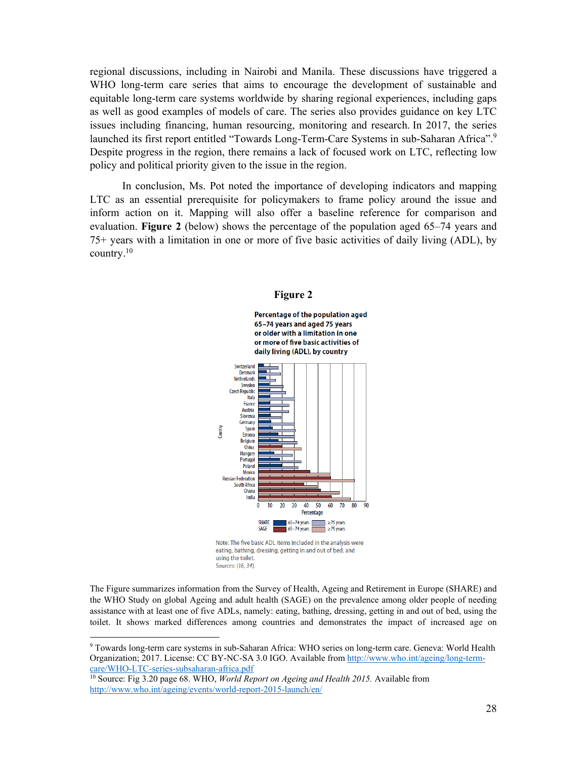regional discussions, including in Nairobi and Manila. These discussions have triggered a WHO long-term care series that aims to encourage the development of sustainable and equitable long-term care systems worldwide by sharing regional experiences, including gaps as well as good examples of models of care. The series also provides guidance on key LTC issues including financing, human resourcing, monitoring and research. In 2017, the series launched its first report entitled "Towards Long-Term-Care Systems in sub-Saharan Africa".9 Despite progress in the region, there remains a lack of focused work on LTC, reflecting low policy and political priority given to the issue in the region.

 In conclusion, Ms. Pot noted the importance of developing indicators and mapping LTC as an essential prerequisite for policymakers to frame policy around the issue and inform action on it. Mapping will also offer a baseline reference for comparison and evaluation. **Figure 2** (below) shows the percentage of the population aged 65–74 years and 75+ years with a limitation in one or more of five basic activities of daily living (ADL), by country.10



#### **Figure 2**

Percentage of the population aged 65-74 years and aged 75 years or older with a limitation in one

eating, bathing, dressing, getting in and out of bed, and using the toilet. Sources: (16, 34).

The Figure summarizes information from the Survey of Health, Ageing and Retirement in Europe (SHARE) and the WHO Study on global Ageing and adult health (SAGE) on the prevalence among older people of needing assistance with at least one of five ADLs, namely: eating, bathing, dressing, getting in and out of bed, using the toilet. It shows marked differences among countries and demonstrates the impact of increased age on

9 Towards long-term care systems in sub-Saharan Africa: WHO series on long-term care. Geneva: World Health Organization; 2017. License: CC BY-NC-SA 3.0 IGO. Available from http://www.who.int/ageing/long-term-care/WHO-LTC-series-subsaharan-africa.pdf

<sup>10</sup> Source: Fig 3.20 page 68. WHO, *World Report on Ageing and Health 2015*. Available from http://www.who.int/ageing/events/world-report-2015-launch/en/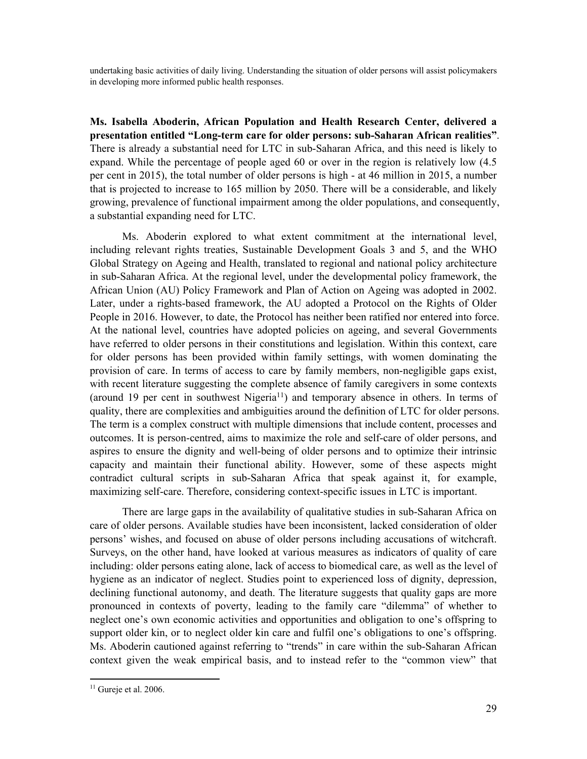undertaking basic activities of daily living. Understanding the situation of older persons will assist policymakers in developing more informed public health responses.

**Ms. Isabella Aboderin, African Population and Health Research Center, delivered a presentation entitled "Long-term care for older persons: sub-Saharan African realities"**. There is already a substantial need for LTC in sub-Saharan Africa, and this need is likely to expand. While the percentage of people aged 60 or over in the region is relatively low (4.5 per cent in 2015), the total number of older persons is high - at 46 million in 2015, a number that is projected to increase to 165 million by 2050. There will be a considerable, and likely growing, prevalence of functional impairment among the older populations, and consequently, a substantial expanding need for LTC.

Ms. Aboderin explored to what extent commitment at the international level, including relevant rights treaties, Sustainable Development Goals 3 and 5, and the WHO Global Strategy on Ageing and Health, translated to regional and national policy architecture in sub-Saharan Africa. At the regional level, under the developmental policy framework, the African Union (AU) Policy Framework and Plan of Action on Ageing was adopted in 2002. Later, under a rights-based framework, the AU adopted a Protocol on the Rights of Older People in 2016. However, to date, the Protocol has neither been ratified nor entered into force. At the national level, countries have adopted policies on ageing, and several Governments have referred to older persons in their constitutions and legislation. Within this context, care for older persons has been provided within family settings, with women dominating the provision of care. In terms of access to care by family members, non-negligible gaps exist, with recent literature suggesting the complete absence of family caregivers in some contexts (around 19 per cent in southwest Nigeria<sup>11</sup>) and temporary absence in others. In terms of quality, there are complexities and ambiguities around the definition of LTC for older persons. The term is a complex construct with multiple dimensions that include content, processes and outcomes. It is person-centred, aims to maximize the role and self-care of older persons, and aspires to ensure the dignity and well-being of older persons and to optimize their intrinsic capacity and maintain their functional ability. However, some of these aspects might contradict cultural scripts in sub-Saharan Africa that speak against it, for example, maximizing self-care. Therefore, considering context-specific issues in LTC is important.

There are large gaps in the availability of qualitative studies in sub-Saharan Africa on care of older persons. Available studies have been inconsistent, lacked consideration of older persons' wishes, and focused on abuse of older persons including accusations of witchcraft. Surveys, on the other hand, have looked at various measures as indicators of quality of care including: older persons eating alone, lack of access to biomedical care, as well as the level of hygiene as an indicator of neglect. Studies point to experienced loss of dignity, depression, declining functional autonomy, and death. The literature suggests that quality gaps are more pronounced in contexts of poverty, leading to the family care "dilemma" of whether to neglect one's own economic activities and opportunities and obligation to one's offspring to support older kin, or to neglect older kin care and fulfil one's obligations to one's offspring. Ms. Aboderin cautioned against referring to "trends" in care within the sub-Saharan African context given the weak empirical basis, and to instead refer to the "common view" that

 $11$  Gureje et al. 2006.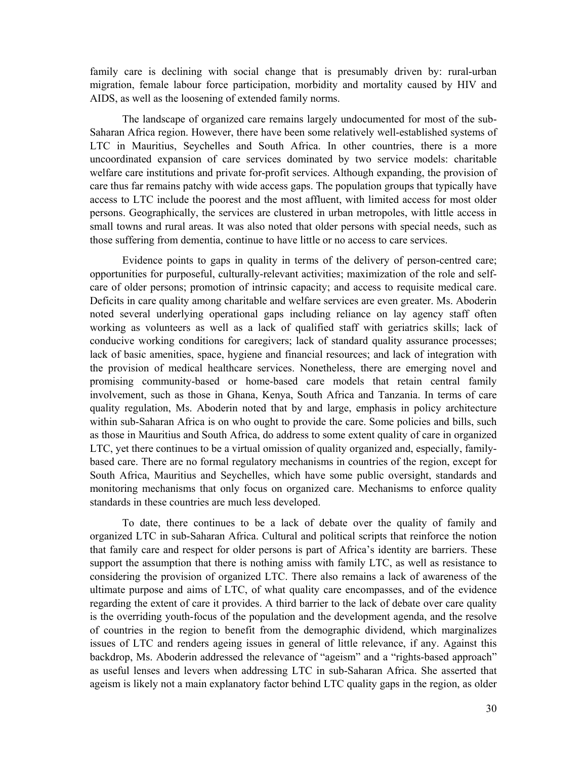family care is declining with social change that is presumably driven by: rural-urban migration, female labour force participation, morbidity and mortality caused by HIV and AIDS, as well as the loosening of extended family norms.

The landscape of organized care remains largely undocumented for most of the sub-Saharan Africa region. However, there have been some relatively well-established systems of LTC in Mauritius, Seychelles and South Africa. In other countries, there is a more uncoordinated expansion of care services dominated by two service models: charitable welfare care institutions and private for-profit services. Although expanding, the provision of care thus far remains patchy with wide access gaps. The population groups that typically have access to LTC include the poorest and the most affluent, with limited access for most older persons. Geographically, the services are clustered in urban metropoles, with little access in small towns and rural areas. It was also noted that older persons with special needs, such as those suffering from dementia, continue to have little or no access to care services.

Evidence points to gaps in quality in terms of the delivery of person-centred care; opportunities for purposeful, culturally-relevant activities; maximization of the role and selfcare of older persons; promotion of intrinsic capacity; and access to requisite medical care. Deficits in care quality among charitable and welfare services are even greater. Ms. Aboderin noted several underlying operational gaps including reliance on lay agency staff often working as volunteers as well as a lack of qualified staff with geriatrics skills; lack of conducive working conditions for caregivers; lack of standard quality assurance processes; lack of basic amenities, space, hygiene and financial resources; and lack of integration with the provision of medical healthcare services. Nonetheless, there are emerging novel and promising community-based or home-based care models that retain central family involvement, such as those in Ghana, Kenya, South Africa and Tanzania. In terms of care quality regulation, Ms. Aboderin noted that by and large, emphasis in policy architecture within sub-Saharan Africa is on who ought to provide the care. Some policies and bills, such as those in Mauritius and South Africa, do address to some extent quality of care in organized LTC, yet there continues to be a virtual omission of quality organized and, especially, familybased care. There are no formal regulatory mechanisms in countries of the region, except for South Africa, Mauritius and Seychelles, which have some public oversight, standards and monitoring mechanisms that only focus on organized care. Mechanisms to enforce quality standards in these countries are much less developed.

To date, there continues to be a lack of debate over the quality of family and organized LTC in sub-Saharan Africa. Cultural and political scripts that reinforce the notion that family care and respect for older persons is part of Africa's identity are barriers. These support the assumption that there is nothing amiss with family LTC, as well as resistance to considering the provision of organized LTC. There also remains a lack of awareness of the ultimate purpose and aims of LTC, of what quality care encompasses, and of the evidence regarding the extent of care it provides. A third barrier to the lack of debate over care quality is the overriding youth-focus of the population and the development agenda, and the resolve of countries in the region to benefit from the demographic dividend, which marginalizes issues of LTC and renders ageing issues in general of little relevance, if any. Against this backdrop, Ms. Aboderin addressed the relevance of "ageism" and a "rights-based approach" as useful lenses and levers when addressing LTC in sub-Saharan Africa. She asserted that ageism is likely not a main explanatory factor behind LTC quality gaps in the region, as older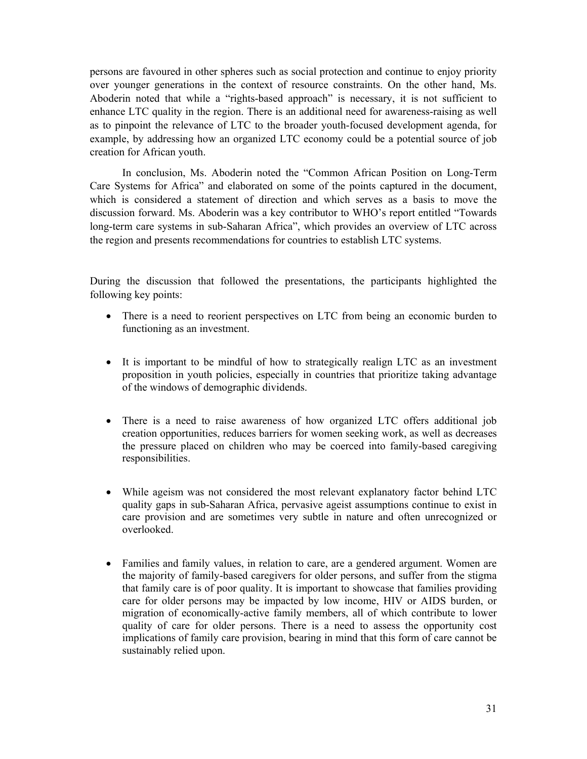persons are favoured in other spheres such as social protection and continue to enjoy priority over younger generations in the context of resource constraints. On the other hand, Ms. Aboderin noted that while a "rights-based approach" is necessary, it is not sufficient to enhance LTC quality in the region. There is an additional need for awareness-raising as well as to pinpoint the relevance of LTC to the broader youth-focused development agenda, for example, by addressing how an organized LTC economy could be a potential source of job creation for African youth.

In conclusion, Ms. Aboderin noted the "Common African Position on Long-Term Care Systems for Africa" and elaborated on some of the points captured in the document, which is considered a statement of direction and which serves as a basis to move the discussion forward. Ms. Aboderin was a key contributor to WHO's report entitled "Towards long-term care systems in sub-Saharan Africa", which provides an overview of LTC across the region and presents recommendations for countries to establish LTC systems.

During the discussion that followed the presentations, the participants highlighted the following key points:

- There is a need to reorient perspectives on LTC from being an economic burden to functioning as an investment.
- It is important to be mindful of how to strategically realign LTC as an investment proposition in youth policies, especially in countries that prioritize taking advantage of the windows of demographic dividends.
- There is a need to raise awareness of how organized LTC offers additional job creation opportunities, reduces barriers for women seeking work, as well as decreases the pressure placed on children who may be coerced into family-based caregiving responsibilities.
- While ageism was not considered the most relevant explanatory factor behind LTC quality gaps in sub-Saharan Africa, pervasive ageist assumptions continue to exist in care provision and are sometimes very subtle in nature and often unrecognized or overlooked.
- Families and family values, in relation to care, are a gendered argument. Women are the majority of family-based caregivers for older persons, and suffer from the stigma that family care is of poor quality. It is important to showcase that families providing care for older persons may be impacted by low income, HIV or AIDS burden, or migration of economically-active family members, all of which contribute to lower quality of care for older persons. There is a need to assess the opportunity cost implications of family care provision, bearing in mind that this form of care cannot be sustainably relied upon.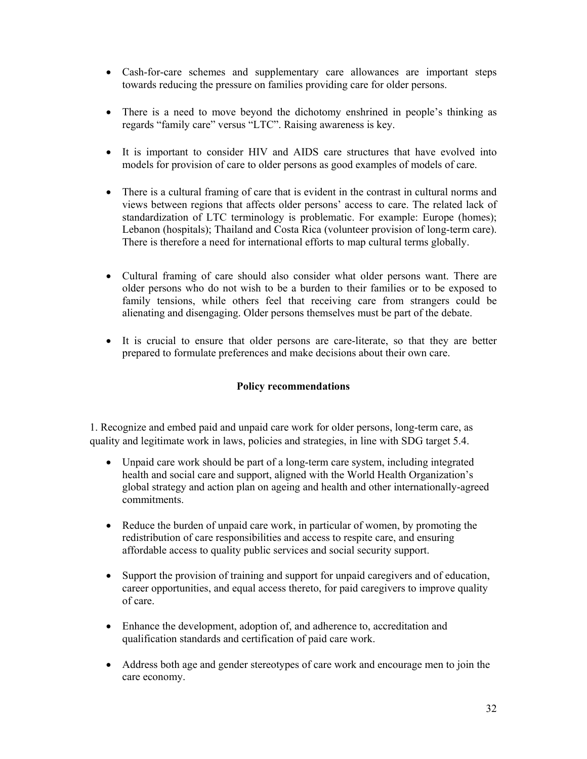- Cash-for-care schemes and supplementary care allowances are important steps towards reducing the pressure on families providing care for older persons.
- There is a need to move beyond the dichotomy enshrined in people's thinking as regards "family care" versus "LTC". Raising awareness is key.
- It is important to consider HIV and AIDS care structures that have evolved into models for provision of care to older persons as good examples of models of care.
- There is a cultural framing of care that is evident in the contrast in cultural norms and views between regions that affects older persons' access to care. The related lack of standardization of LTC terminology is problematic. For example: Europe (homes); Lebanon (hospitals); Thailand and Costa Rica (volunteer provision of long-term care). There is therefore a need for international efforts to map cultural terms globally.
- Cultural framing of care should also consider what older persons want. There are older persons who do not wish to be a burden to their families or to be exposed to family tensions, while others feel that receiving care from strangers could be alienating and disengaging. Older persons themselves must be part of the debate.
- It is crucial to ensure that older persons are care-literate, so that they are better prepared to formulate preferences and make decisions about their own care.

# **Policy recommendations**

1. Recognize and embed paid and unpaid care work for older persons, long-term care, as quality and legitimate work in laws, policies and strategies, in line with SDG target 5.4.

- Unpaid care work should be part of a long-term care system, including integrated health and social care and support, aligned with the World Health Organization's global strategy and action plan on ageing and health and other internationally-agreed commitments.
- Reduce the burden of unpaid care work, in particular of women, by promoting the redistribution of care responsibilities and access to respite care, and ensuring affordable access to quality public services and social security support.
- Support the provision of training and support for unpaid caregivers and of education, career opportunities, and equal access thereto, for paid caregivers to improve quality of care.
- Enhance the development, adoption of, and adherence to, accreditation and qualification standards and certification of paid care work.
- Address both age and gender stereotypes of care work and encourage men to join the care economy.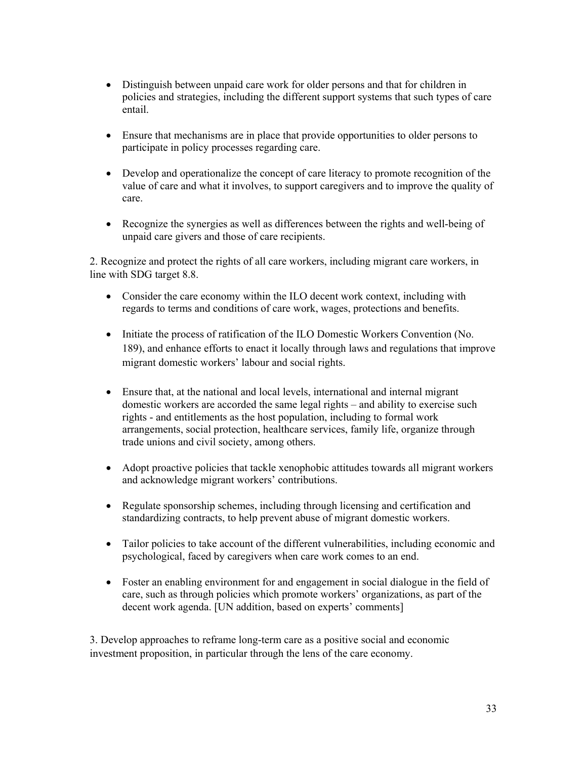- Distinguish between unpaid care work for older persons and that for children in policies and strategies, including the different support systems that such types of care entail.
- Ensure that mechanisms are in place that provide opportunities to older persons to participate in policy processes regarding care.
- Develop and operationalize the concept of care literacy to promote recognition of the value of care and what it involves, to support caregivers and to improve the quality of care.
- Recognize the synergies as well as differences between the rights and well-being of unpaid care givers and those of care recipients.

2. Recognize and protect the rights of all care workers, including migrant care workers, in line with SDG target 8.8.

- Consider the care economy within the ILO decent work context, including with regards to terms and conditions of care work, wages, protections and benefits.
- Initiate the process of ratification of the ILO Domestic Workers Convention (No. 189), and enhance efforts to enact it locally through laws and regulations that improve migrant domestic workers' labour and social rights.
- Ensure that, at the national and local levels, international and internal migrant domestic workers are accorded the same legal rights – and ability to exercise such rights - and entitlements as the host population, including to formal work arrangements, social protection, healthcare services, family life, organize through trade unions and civil society, among others.
- Adopt proactive policies that tackle xenophobic attitudes towards all migrant workers and acknowledge migrant workers' contributions.
- Regulate sponsorship schemes, including through licensing and certification and standardizing contracts, to help prevent abuse of migrant domestic workers.
- Tailor policies to take account of the different vulnerabilities, including economic and psychological, faced by caregivers when care work comes to an end.
- Foster an enabling environment for and engagement in social dialogue in the field of care, such as through policies which promote workers' organizations, as part of the decent work agenda. [UN addition, based on experts' comments]

3. Develop approaches to reframe long-term care as a positive social and economic investment proposition, in particular through the lens of the care economy.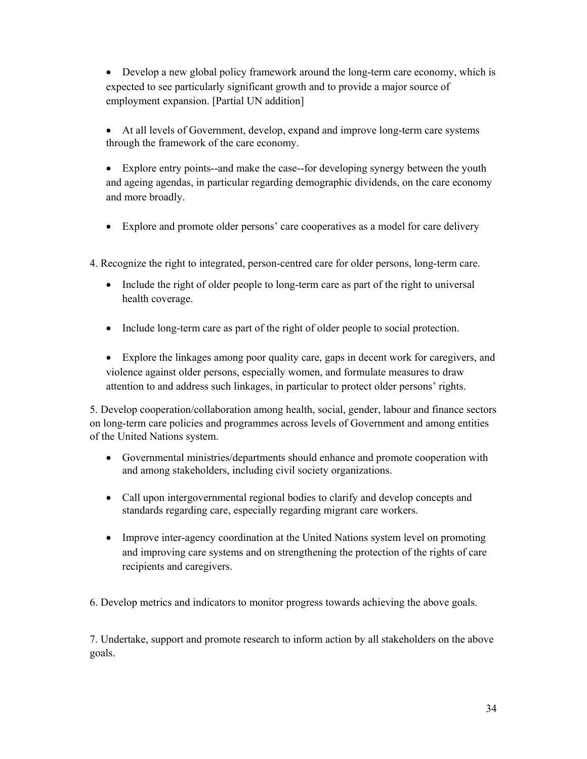Develop a new global policy framework around the long-term care economy, which is expected to see particularly significant growth and to provide a major source of employment expansion. [Partial UN addition]

- At all levels of Government, develop, expand and improve long-term care systems through the framework of the care economy.
- Explore entry points--and make the case--for developing synergy between the youth and ageing agendas, in particular regarding demographic dividends, on the care economy and more broadly.
- Explore and promote older persons' care cooperatives as a model for care delivery
- 4. Recognize the right to integrated, person-centred care for older persons, long-term care.
	- Include the right of older people to long-term care as part of the right to universal health coverage.
	- Include long-term care as part of the right of older people to social protection.
	- Explore the linkages among poor quality care, gaps in decent work for caregivers, and violence against older persons, especially women, and formulate measures to draw attention to and address such linkages, in particular to protect older persons' rights.

5. Develop cooperation/collaboration among health, social, gender, labour and finance sectors on long-term care policies and programmes across levels of Government and among entities of the United Nations system.

- Governmental ministries/departments should enhance and promote cooperation with and among stakeholders, including civil society organizations.
- Call upon intergovernmental regional bodies to clarify and develop concepts and standards regarding care, especially regarding migrant care workers.
- Improve inter-agency coordination at the United Nations system level on promoting and improving care systems and on strengthening the protection of the rights of care recipients and caregivers.

6. Develop metrics and indicators to monitor progress towards achieving the above goals.

7. Undertake, support and promote research to inform action by all stakeholders on the above goals.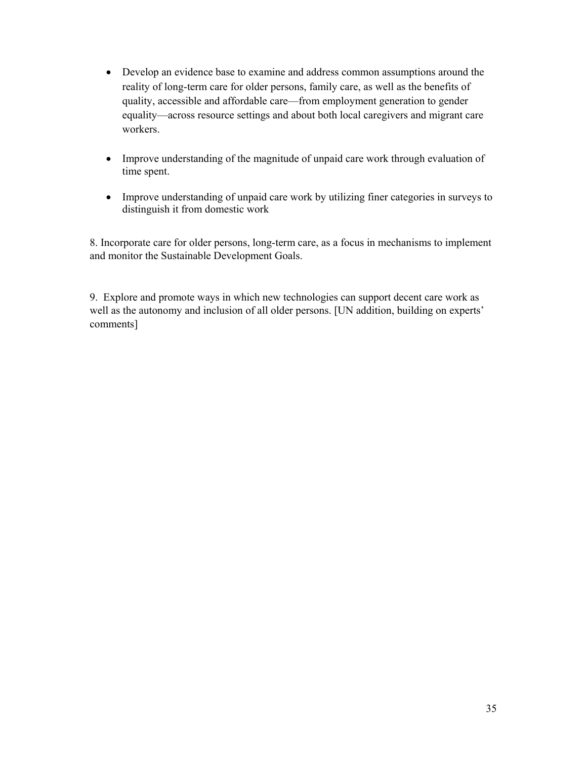- Develop an evidence base to examine and address common assumptions around the reality of long-term care for older persons, family care, as well as the benefits of quality, accessible and affordable care—from employment generation to gender equality—across resource settings and about both local caregivers and migrant care workers.
- Improve understanding of the magnitude of unpaid care work through evaluation of time spent.
- Improve understanding of unpaid care work by utilizing finer categories in surveys to distinguish it from domestic work

8. Incorporate care for older persons, long-term care, as a focus in mechanisms to implement and monitor the Sustainable Development Goals.

9. Explore and promote ways in which new technologies can support decent care work as well as the autonomy and inclusion of all older persons. [UN addition, building on experts' comments]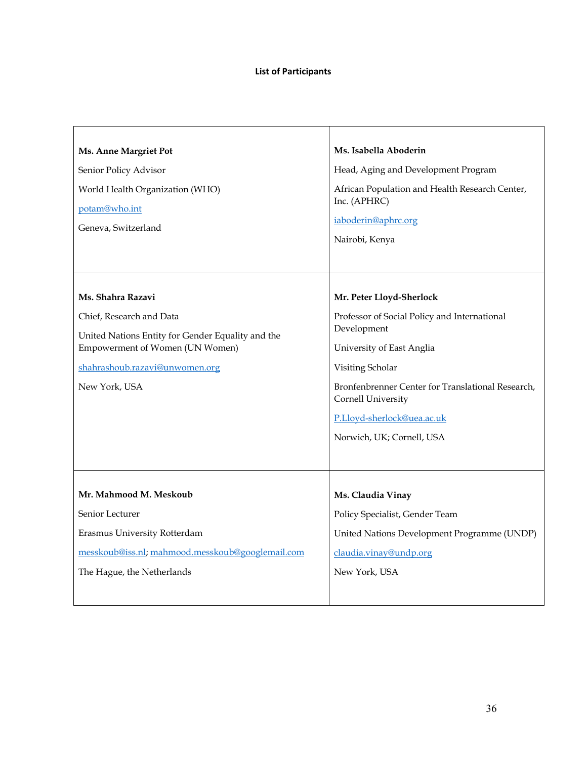| Ms. Anne Margriet Pot<br>Senior Policy Advisor<br>World Health Organization (WHO)<br>potam@who.int<br>Geneva, Switzerland                                                                | Ms. Isabella Aboderin<br>Head, Aging and Development Program<br>African Population and Health Research Center,<br>Inc. (APHRC)<br>iaboderin@aphrc.org<br>Nairobi, Kenya                                                                                                        |
|------------------------------------------------------------------------------------------------------------------------------------------------------------------------------------------|--------------------------------------------------------------------------------------------------------------------------------------------------------------------------------------------------------------------------------------------------------------------------------|
| Ms. Shahra Razavi<br>Chief, Research and Data<br>United Nations Entity for Gender Equality and the<br>Empowerment of Women (UN Women)<br>shahrashoub.razavi@unwomen.org<br>New York, USA | Mr. Peter Lloyd-Sherlock<br>Professor of Social Policy and International<br>Development<br>University of East Anglia<br>Visiting Scholar<br>Bronfenbrenner Center for Translational Research,<br>Cornell University<br>P.Lloyd-sherlock@uea.ac.uk<br>Norwich, UK; Cornell, USA |
| Mr. Mahmood M. Meskoub<br>Senior Lecturer<br>Erasmus University Rotterdam<br>messkoub@iss.nl; mahmood.messkoub@googlemail.com<br>The Hague, the Netherlands                              | Ms. Claudia Vinay<br>Policy Specialist, Gender Team<br>United Nations Development Programme (UNDP)<br>claudia.vinay@undp.org<br>New York, USA                                                                                                                                  |